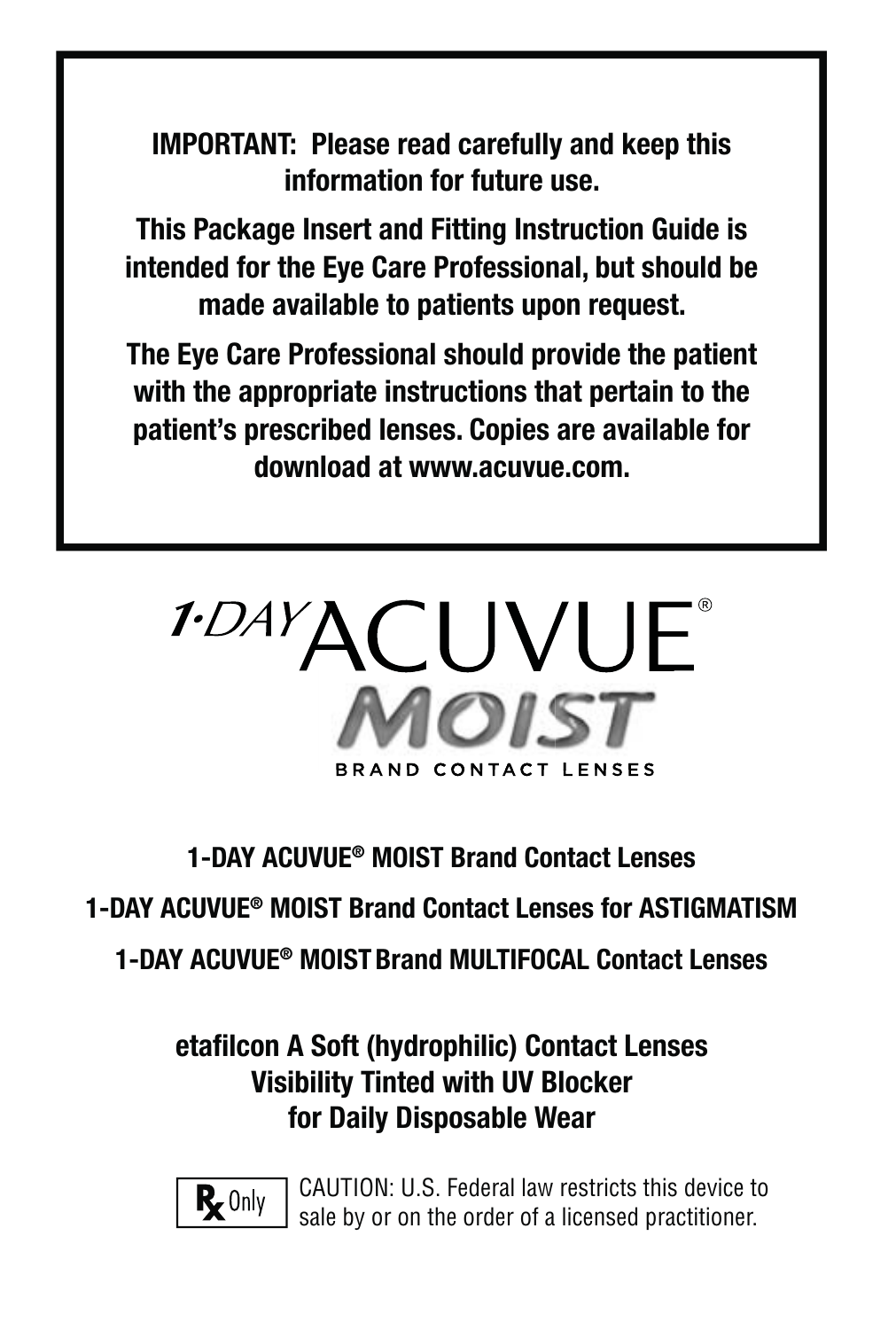**IMPORTANT: Please read carefully and keep this information for future use.**

**This Package Insert and Fitting Instruction Guide is intended for the Eye Care Professional, but should be made available to patients upon request.** 

**The Eye Care Professional should provide the patient with the appropriate instructions that pertain to the patient's prescribed lenses. Copies are available for download at www.acuvue.com.**



**1-DAY ACUVUE® MOIST Brand Contact Lenses**

**1-DAY ACUVUE® MOIST Brand Contact Lenses for ASTIGMATISM**

**1-DAY ACUVUE® MOISTBrand MULTIFOCAL Contact Lenses**

### **etafi lcon A Soft (hydrophilic) Contact Lenses Visibility Tinted with UV Blocker for Daily Disposable Wear**



CAUTION: U.S. Federal law restricts this device to sale by or on the order of a licensed practitioner.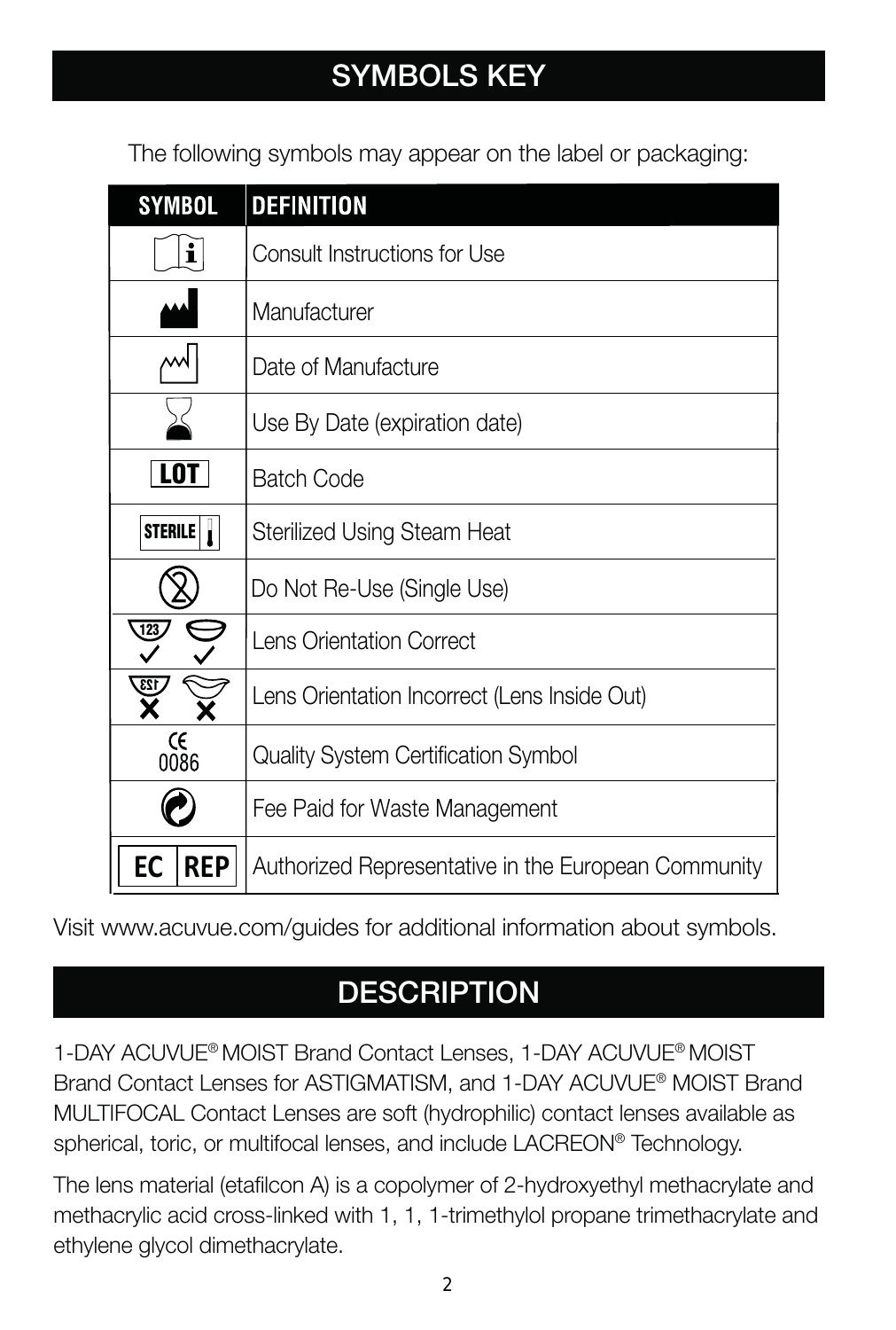# **SYMBOLS KEY**

The following symbols may appear on the label or packaging:

| SYMBOL           | <b>DEFINITION</b>                                   |
|------------------|-----------------------------------------------------|
| i                | Consult Instructions for Use                        |
|                  | Manufacturer                                        |
| w                | Date of Manufacture                                 |
|                  | Use By Date (expiration date)                       |
| <b>LOT</b>       | <b>Batch Code</b>                                   |
| STERILE          | Sterilized Using Steam Heat                         |
|                  | Do Not Re-Use (Single Use)                          |
| $\frac{123}{4}$  | Lens Orientation Correct                            |
| 123              | Lens Orientation Incorrect (Lens Inside Out)        |
| Œ<br>0086        | Quality System Certification Symbol                 |
|                  | Fee Paid for Waste Management                       |
| <b>REP</b><br>EC | Authorized Representative in the European Community |

Visit www.acuvue.com/guides for additional information about symbols.

# **DESCRIPTION**

1-DAY ACUVUE® MOIST Brand Contact Lenses, 1-DAY ACUVUE® MOIST Brand Contact Lenses for ASTIGMATISM, and 1-DAY ACUVUE® MOIST Brand MULTIFOCAL Contact Lenses are soft (hydrophilic) contact lenses available as spherical, toric, or multifocal lenses, and include LACREON® Technology.

The lens material (etafilcon A) is a copolymer of 2-hydroxyethyl methacrylate and methacrylic acid cross-linked with 1, 1, 1-trimethylol propane trimethacrylate and ethylene glycol dimethacrylate.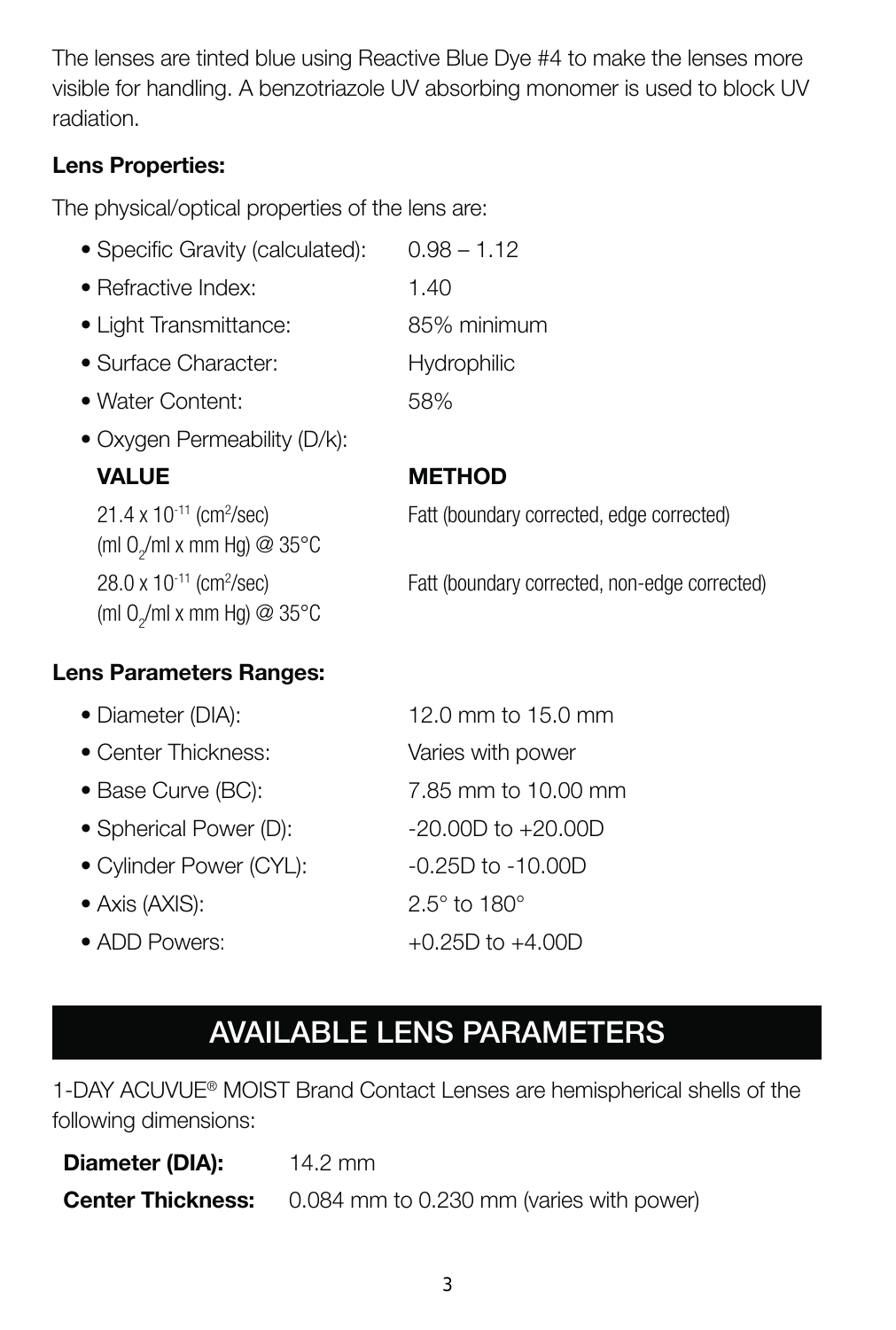The lenses are tinted blue using Reactive Blue Dye #4 to make the lenses more visible for handling. A benzotriazole UV absorbing monomer is used to block UV radiation.

#### **Lens Properties:**

The physical/optical properties of the lens are:

| • Specific Gravity (calculated): | $0.98 - 1.12$ |
|----------------------------------|---------------|
| • Refractive Index:              | 1.40          |
| • Light Transmittance:           | 85% minimum   |
| · Surface Character:             | Hydrophilic   |
| • Water Content:                 | 58%           |

• Oxygen Permeability (D/k):

#### **VALUE METHOD**

21.4 x 10<sup>-11</sup> (cm<sup>2</sup>/sec) (ml 0<sub>2</sub>/ml x mm Hg) @ 35°C 28.0 x 10-11 (cm2 /sec) (ml 0<sub>2</sub>/ml x mm Hg) @ 35°C

Fatt (boundary corrected, edge corrected)

Fatt (boundary corrected, non-edge corrected)

#### **Lens Parameters Ranges:**

| • Diameter (DIA):       | 12.0 mm to 15.0 mm          |
|-------------------------|-----------------------------|
| • Center Thickness:     | Varies with power           |
| • Base Curve (BC):      | 7.85 mm to 10.00 mm         |
| • Spherical Power (D):  | $-20.00D$ to $+20.00D$      |
| • Cylinder Power (CYL): | $-0.25D$ to $-10.00D$       |
| • Axis (AXIS):          | $2.5^\circ$ to 180 $^\circ$ |
| • ADD Powers:           | $+0.25D$ to $+4.00D$        |

# **AVAILABLE LENS PARAMETERS**

1-DAY ACUVUE® MOIST Brand Contact Lenses are hemispherical shells of the following dimensions:

| Diameter (DIA):          | $14.2 \text{ mm}$                        |
|--------------------------|------------------------------------------|
| <b>Center Thickness:</b> | 0.084 mm to 0.230 mm (varies with power) |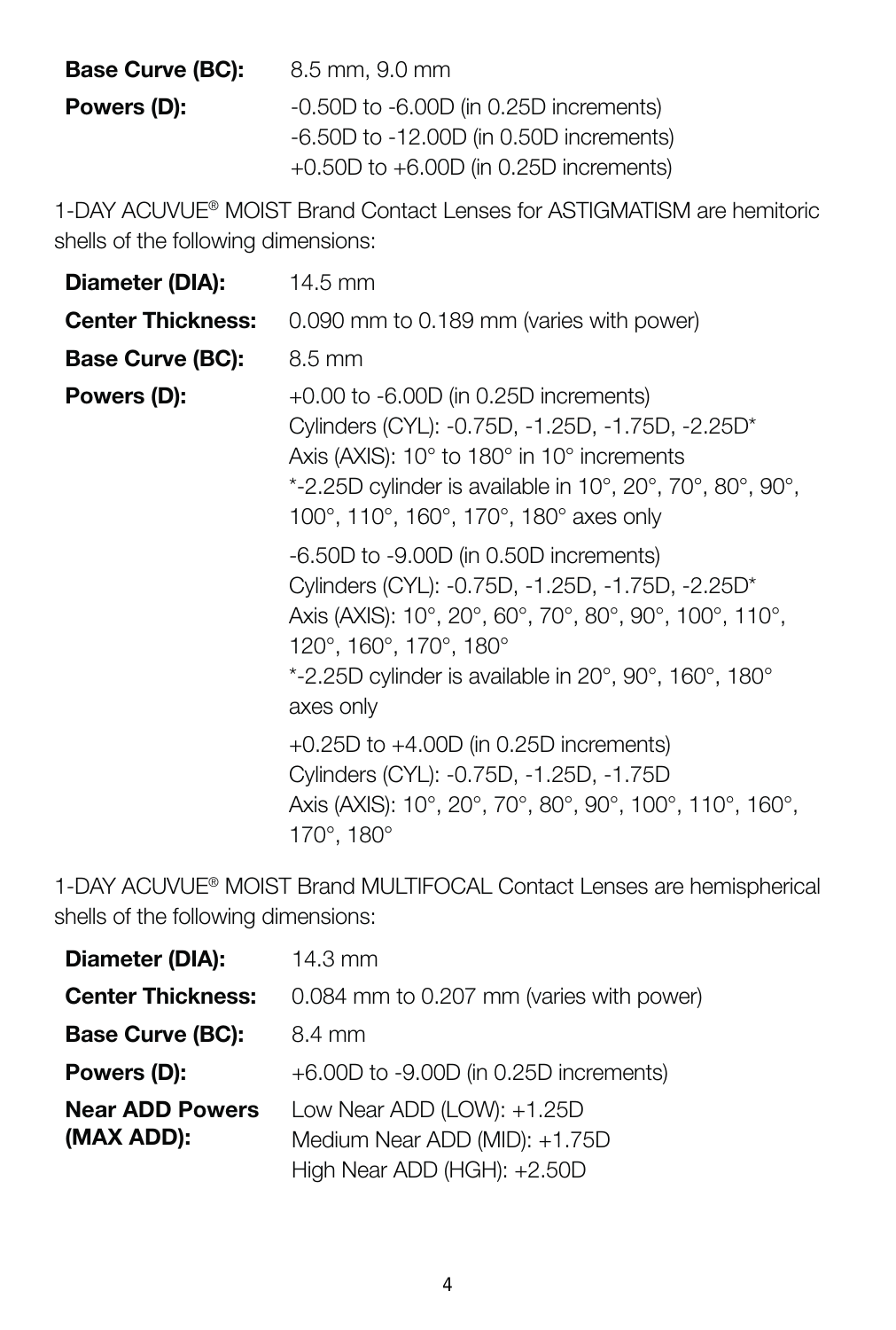| Base Curve (BC): | 8.5 mm, 9.0 mm                             |
|------------------|--------------------------------------------|
| Powers (D):      | -0.50D to -6.00D (in 0.25D increments)     |
|                  | -6.50D to -12.00D (in 0.50D increments)    |
|                  | $+0.50D$ to $+6.00D$ (in 0.25D increments) |

1-DAY ACUVUE® MOIST Brand Contact Lenses for ASTIGMATISM are hemitoric shells of the following dimensions:

| Diameter (DIA):          | 14.5 mm                                                                                                                                                                                                                                              |
|--------------------------|------------------------------------------------------------------------------------------------------------------------------------------------------------------------------------------------------------------------------------------------------|
| <b>Center Thickness:</b> | 0.090 mm to 0.189 mm (varies with power)                                                                                                                                                                                                             |
| Base Curve (BC):         | 8.5 mm                                                                                                                                                                                                                                               |
| Powers (D):              | $+0.00$ to $-6.00D$ (in 0.25D increments)<br>Cylinders (CYL): -0.75D, -1.25D, -1.75D, -2.25D*<br>Axis (AXIS): 10° to 180° in 10° increments<br>*-2.25D cylinder is available in 10°, 20°, 70°, 80°, 90°,<br>100°, 110°, 160°, 170°, 180° axes only   |
|                          | -6.50D to -9.00D (in 0.50D increments)<br>Cylinders (CYL): -0.75D, -1.25D, -1.75D, -2.25D*<br>Axis (AXIS): 10°, 20°, 60°, 70°, 80°, 90°, 100°, 110°,<br>120°, 160°, 170°, 180°<br>*-2.25D cylinder is available in 20°, 90°, 160°, 180°<br>axes only |
|                          | +0.25D to +4.00D (in 0.25D increments)<br>Cylinders (CYL): -0.75D, -1.25D, -1.75D<br>Axis (AXIS): 10°, 20°, 70°, 80°, 90°, 100°, 110°, 160°,<br>170°, 180°                                                                                           |

1-DAY ACUVUE® MOIST Brand MULTIFOCAL Contact Lenses are hemispherical shells of the following dimensions:

| Diameter (DIA):                      | 14.3 mm                                                                                    |
|--------------------------------------|--------------------------------------------------------------------------------------------|
| <b>Center Thickness:</b>             | 0.084 mm to 0.207 mm (varies with power)                                                   |
| Base Curve (BC):                     | 8.4 mm                                                                                     |
| Powers (D):                          | $+6.00D$ to $-9.00D$ (in 0.25D increments)                                                 |
| <b>Near ADD Powers</b><br>(MAX ADD): | Low Near ADD (LOW): +1.25D<br>Medium Near ADD (MID): +1.75D<br>High Near ADD (HGH): +2.50D |
|                                      |                                                                                            |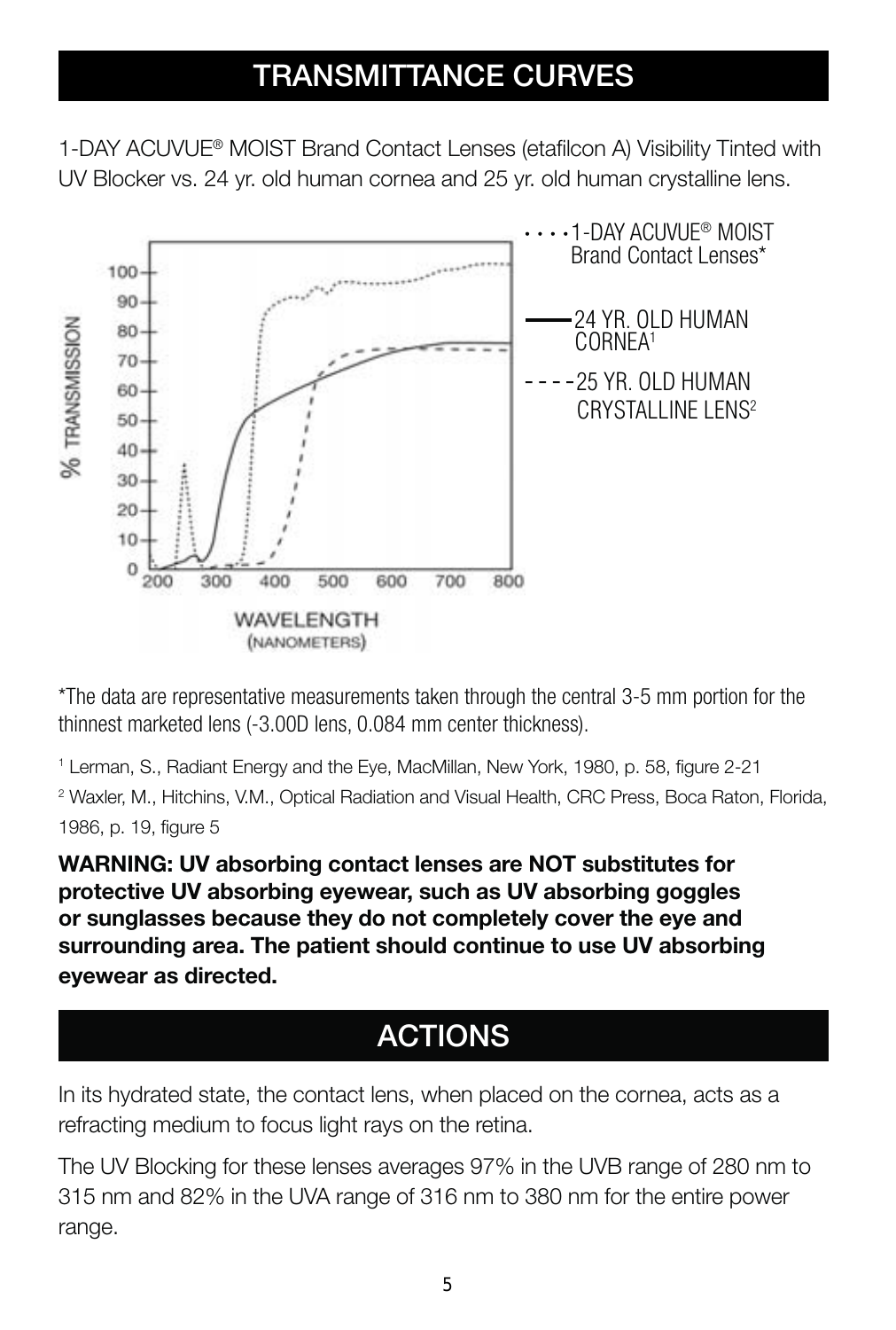# **TRANSMITTANCE CURVES**

1-DAY ACUVUE® MOIST Brand Contact Lenses (etafilcon A) Visibility Tinted with UV Blocker vs. 24 yr. old human cornea and 25 yr. old human crystalline lens.



\*The data are representative measurements taken through the central 3-5 mm portion for the thinnest marketed lens (-3.00D lens, 0.084 mm center thickness).

<sup>1</sup> Lerman, S., Radiant Energy and the Eye, MacMillan, New York, 1980, p. 58, figure 2-21 2 Waxler, M., Hitchins, V.M., Optical Radiation and Visual Health, CRC Press, Boca Raton, Florida, 1986, p. 19, figure 5

**WARNING: UV absorbing contact lenses are NOT substitutes for protective UV absorbing eyewear, such as UV absorbing goggles or sunglasses because they do not completely cover the eye and surrounding area. The patient should continue to use UV absorbing eyewear as directed.**

# **ACTIONS**

In its hydrated state, the contact lens, when placed on the cornea, acts as a refracting medium to focus light rays on the retina.

The UV Blocking for these lenses averages 97% in the UVB range of 280 nm to 315 nm and 82% in the UVA range of 316 nm to 380 nm for the entire power range.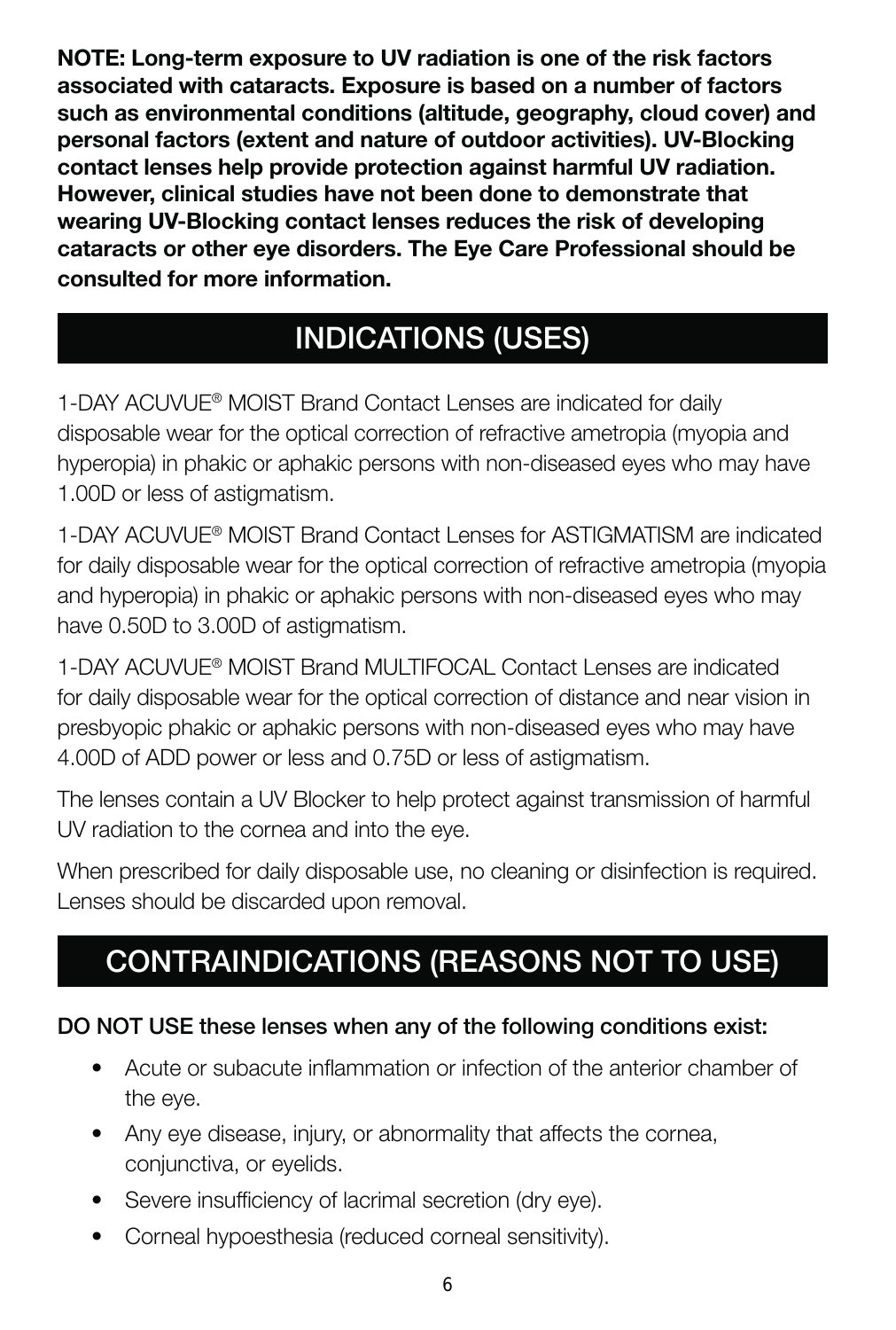**NOTE: Long-term exposure to UV radiation is one of the risk factors associated with cataracts. Exposure is based on a number of factors such as environmental conditions (altitude, geography, cloud cover) and personal factors (extent and nature of outdoor activities). UV-Blocking contact lenses help provide protection against harmful UV radiation. However, clinical studies have not been done to demonstrate that wearing UV-Blocking contact lenses reduces the risk of developing cataracts or other eye disorders. The Eye Care Professional should be consulted for more information.**

# **INDICATIONS (USES)**

1-DAY ACUVUE® MOIST Brand Contact Lenses are indicated for daily disposable wear for the optical correction of refractive ametropia (myopia and hyperopia) in phakic or aphakic persons with non-diseased eyes who may have 1.00D or less of astigmatism.

1-DAY ACUVUE® MOIST Brand Contact Lenses for ASTIGMATISM are indicated for daily disposable wear for the optical correction of refractive ametropia (myopia and hyperopia) in phakic or aphakic persons with non-diseased eyes who may have 0.50D to 3.00D of astigmatism.

1-DAY ACUVUE® MOIST Brand MULTIFOCAL Contact Lenses are indicated for daily disposable wear for the optical correction of distance and near vision in presbyopic phakic or aphakic persons with non-diseased eyes who may have 4.00D of ADD power or less and 0.75D or less of astigmatism.

The lenses contain a UV Blocker to help protect against transmission of harmful UV radiation to the cornea and into the eye.

When prescribed for daily disposable use, no cleaning or disinfection is required. Lenses should be discarded upon removal.

# **CONTRAINDICATIONS (REASONS NOT TO USE)**

#### **DO NOT USE these lenses when any of the following conditions exist:**

- Acute or subacute inflammation or infection of the anterior chamber of the eye.
- Any eye disease, injury, or abnormality that affects the cornea, conjunctiva, or eyelids.
- Severe insufficiency of lacrimal secretion (dry eye).
- Corneal hypoesthesia (reduced corneal sensitivity).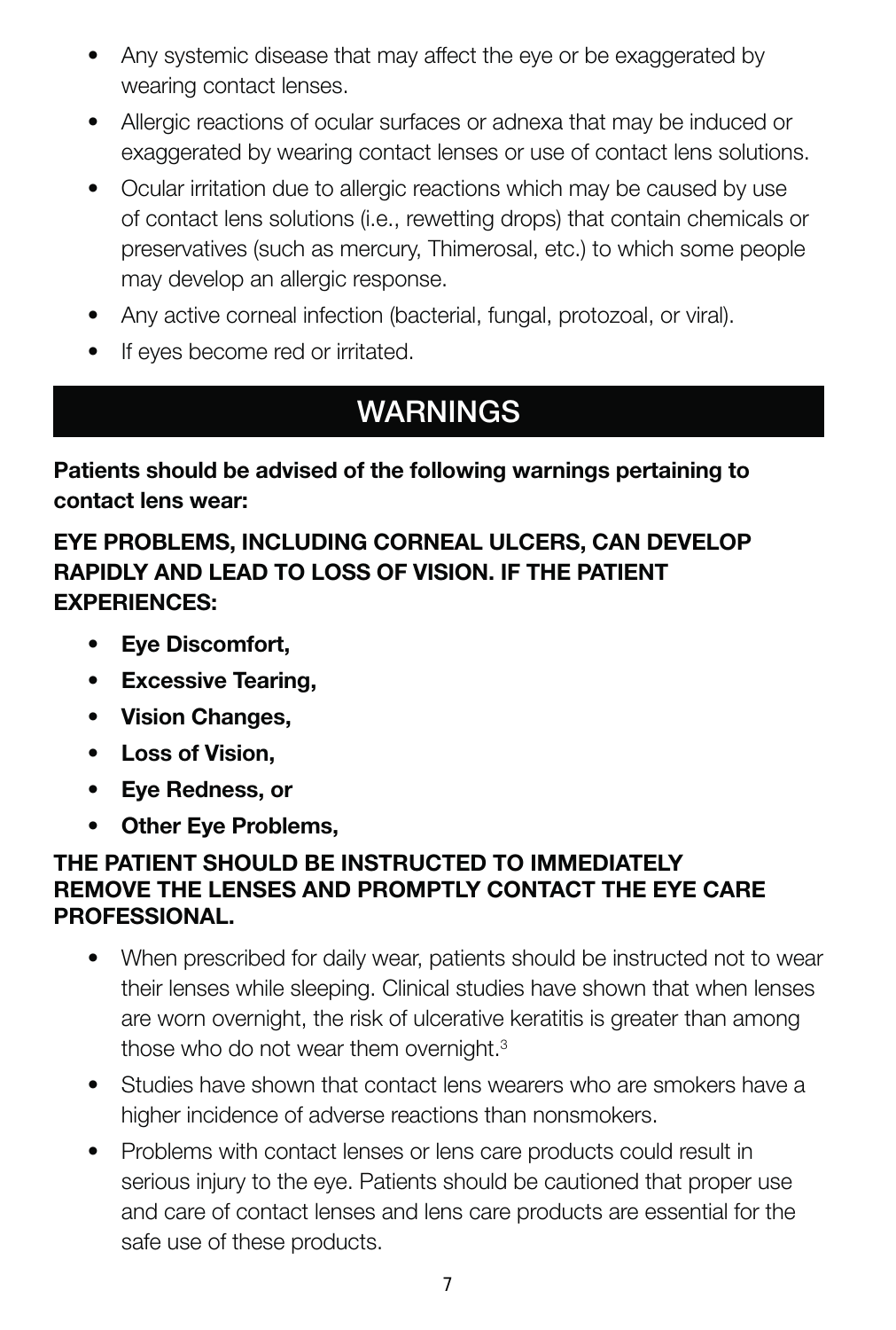- Any systemic disease that may affect the eye or be exaggerated by wearing contact lenses.
- Allergic reactions of ocular surfaces or adnexa that may be induced or exaggerated by wearing contact lenses or use of contact lens solutions.
- Ocular irritation due to allergic reactions which may be caused by use of contact lens solutions (i.e., rewetting drops) that contain chemicals or preservatives (such as mercury, Thimerosal, etc.) to which some people may develop an allergic response.
- Any active corneal infection (bacterial, fungal, protozoal, or viral).
- If eyes become red or irritated.

# **WARNINGS**

**Patients should be advised of the following warnings pertaining to contact lens wear:**

#### **EYE PROBLEMS, INCLUDING CORNEAL ULCERS, CAN DEVELOP RAPIDLY AND LEAD TO LOSS OF VISION. IF THE PATIENT EXPERIENCES:**

- **Eye Discomfort,**
- **Excessive Tearing,**
- **Vision Changes,**
- **Loss of Vision,**
- **Eye Redness, or**
- **Other Eye Problems,**

#### **THE PATIENT SHOULD BE INSTRUCTED TO IMMEDIATELY REMOVE THE LENSES AND PROMPTLY CONTACT THE EYE CARE PROFESSIONAL.**

- When prescribed for daily wear, patients should be instructed not to wear their lenses while sleeping. Clinical studies have shown that when lenses are worn overnight, the risk of ulcerative keratitis is greater than among those who do not wear them overnight.<sup>3</sup>
- Studies have shown that contact lens wearers who are smokers have a higher incidence of adverse reactions than nonsmokers.
- Problems with contact lenses or lens care products could result in serious injury to the eye. Patients should be cautioned that proper use and care of contact lenses and lens care products are essential for the safe use of these products.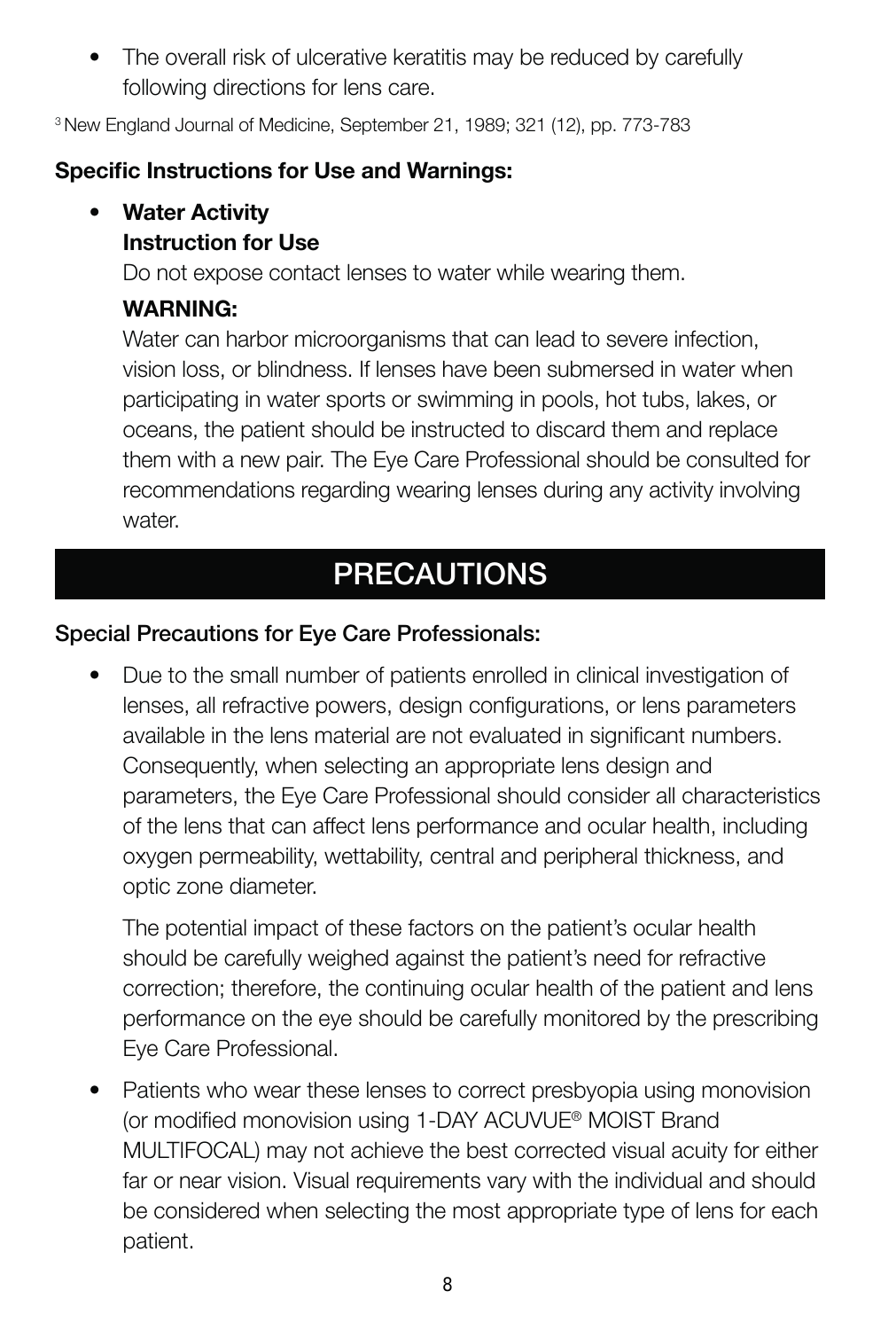• The overall risk of ulcerative keratitis may be reduced by carefully following directions for lens care.

3 New England Journal of Medicine, September 21, 1989; 321 (12), pp. 773-783

#### **Specific Instructions for Use and Warnings:**

#### **• Water Activity**

#### **Instruction for Use**

Do not expose contact lenses to water while wearing them.

#### **WARNING:**

Water can harbor microorganisms that can lead to severe infection, vision loss, or blindness. If lenses have been submersed in water when participating in water sports or swimming in pools, hot tubs, lakes, or oceans, the patient should be instructed to discard them and replace them with a new pair. The Eye Care Professional should be consulted for recommendations regarding wearing lenses during any activity involving water.

# **PRECAUTIONS**

#### **Special Precautions for Eye Care Professionals:**

• Due to the small number of patients enrolled in clinical investigation of lenses, all refractive powers, design configurations, or lens parameters available in the lens material are not evaluated in significant numbers. Consequently, when selecting an appropriate lens design and parameters, the Eye Care Professional should consider all characteristics of the lens that can affect lens performance and ocular health, including oxygen permeability, wettability, central and peripheral thickness, and optic zone diameter.

The potential impact of these factors on the patient's ocular health should be carefully weighed against the patient's need for refractive correction; therefore, the continuing ocular health of the patient and lens performance on the eye should be carefully monitored by the prescribing Eye Care Professional.

• Patients who wear these lenses to correct presbyopia using monovision (or modified monovision using 1-DAY ACUVUE® MOIST Brand MULTIFOCAL) may not achieve the best corrected visual acuity for either far or near vision. Visual requirements vary with the individual and should be considered when selecting the most appropriate type of lens for each patient.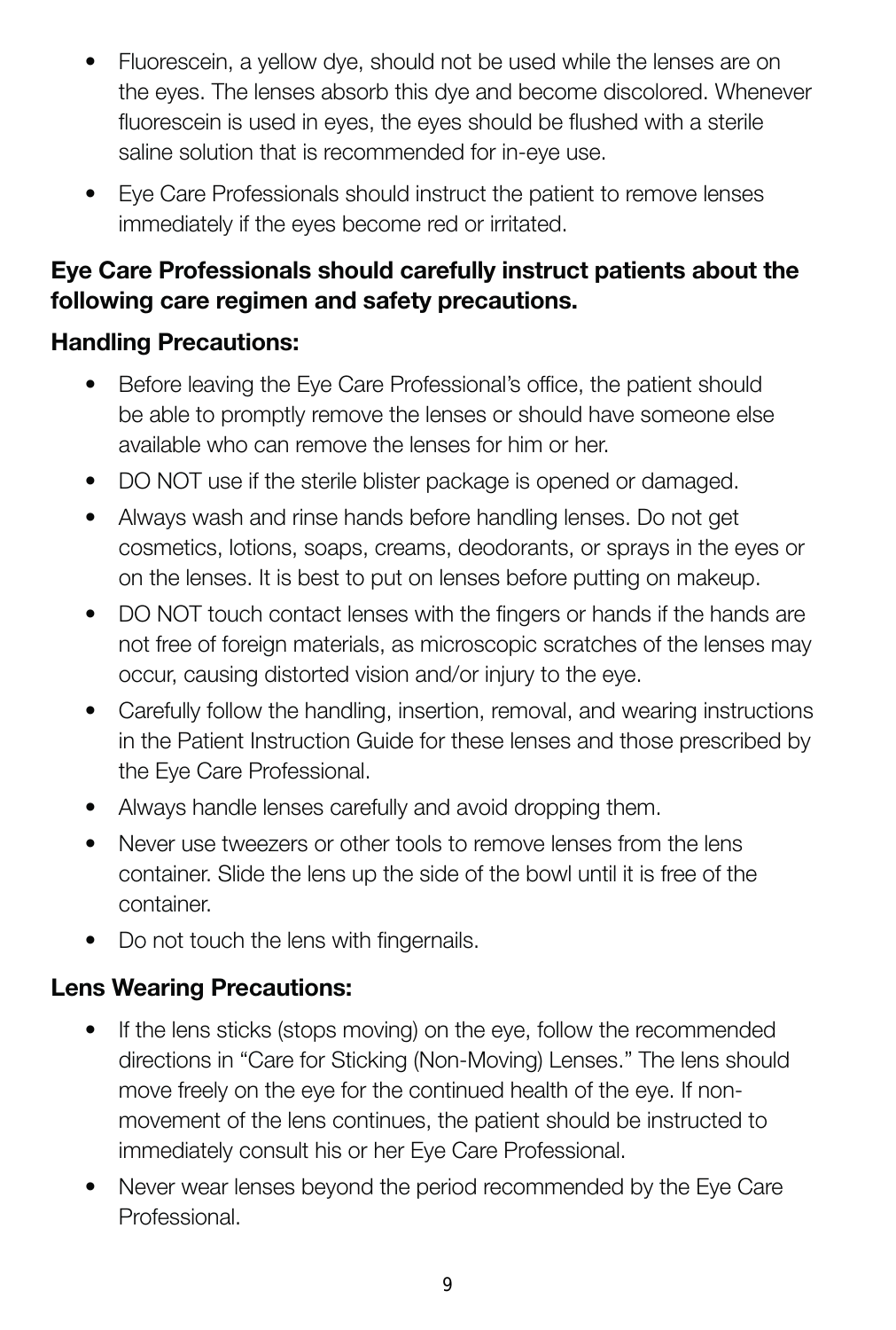- Fluorescein, a yellow dye, should not be used while the lenses are on the eyes. The lenses absorb this dye and become discolored. Whenever fluorescein is used in eyes, the eyes should be flushed with a sterile saline solution that is recommended for in-eye use.
- Eye Care Professionals should instruct the patient to remove lenses immediately if the eyes become red or irritated.

#### **Eye Care Professionals should carefully instruct patients about the following care regimen and safety precautions.**

#### **Handling Precautions:**

- Before leaving the Eye Care Professional's office, the patient should be able to promptly remove the lenses or should have someone else available who can remove the lenses for him or her.
- DO NOT use if the sterile blister package is opened or damaged.
- Always wash and rinse hands before handling lenses. Do not get cosmetics, lotions, soaps, creams, deodorants, or sprays in the eyes or on the lenses. It is best to put on lenses before putting on makeup.
- DO NOT touch contact lenses with the fingers or hands if the hands are not free of foreign materials, as microscopic scratches of the lenses may occur, causing distorted vision and/or injury to the eye.
- Carefully follow the handling, insertion, removal, and wearing instructions in the Patient Instruction Guide for these lenses and those prescribed by the Eye Care Professional.
- Always handle lenses carefully and avoid dropping them.
- Never use tweezers or other tools to remove lenses from the lens container. Slide the lens up the side of the bowl until it is free of the container.
- Do not touch the lens with fingernails.

#### **Lens Wearing Precautions:**

- If the lens sticks (stops moving) on the eye, follow the recommended directions in "Care for Sticking (Non-Moving) Lenses." The lens should move freely on the eye for the continued health of the eye. If nonmovement of the lens continues, the patient should be instructed to immediately consult his or her Eye Care Professional.
- Never wear lenses beyond the period recommended by the Eye Care Professional.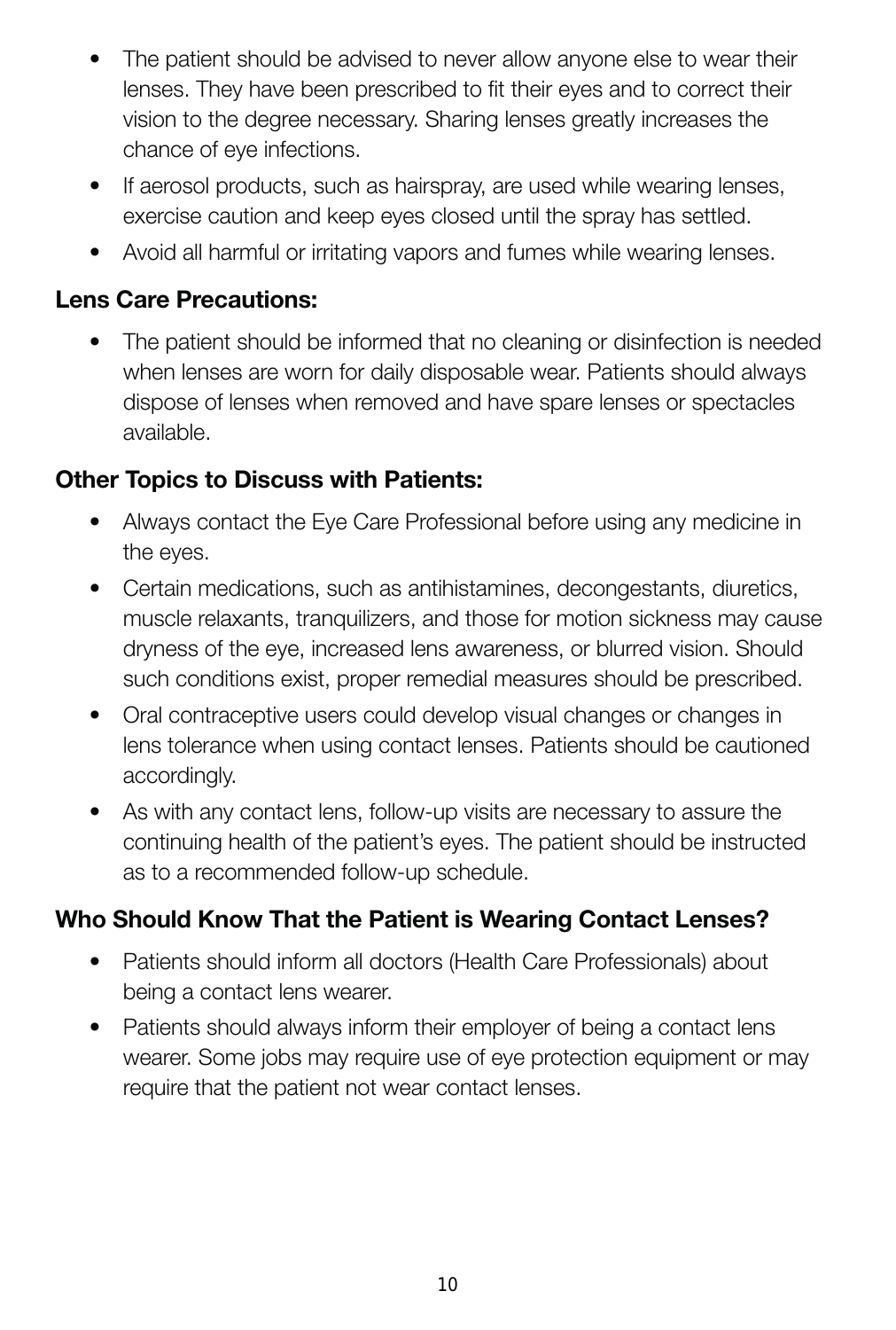- The patient should be advised to never allow anyone else to wear their lenses. They have been prescribed to fit their eyes and to correct their vision to the degree necessary. Sharing lenses greatly increases the chance of eye infections.
- If aerosol products, such as hairspray, are used while wearing lenses, exercise caution and keep eyes closed until the spray has settled.
- Avoid all harmful or irritating vapors and fumes while wearing lenses.

#### **Lens Care Precautions:**

• The patient should be informed that no cleaning or disinfection is needed when lenses are worn for daily disposable wear. Patients should always dispose of lenses when removed and have spare lenses or spectacles available.

#### **Other Topics to Discuss with Patients:**

- Always contact the Eye Care Professional before using any medicine in the eyes.
- Certain medications, such as antihistamines, decongestants, diuretics, muscle relaxants, tranquilizers, and those for motion sickness may cause dryness of the eye, increased lens awareness, or blurred vision. Should such conditions exist, proper remedial measures should be prescribed.
- Oral contraceptive users could develop visual changes or changes in lens tolerance when using contact lenses. Patients should be cautioned accordingly.
- As with any contact lens, follow-up visits are necessary to assure the continuing health of the patient's eyes. The patient should be instructed as to a recommended follow-up schedule.

#### **Who Should Know That the Patient is Wearing Contact Lenses?**

- Patients should inform all doctors (Health Care Professionals) about being a contact lens wearer.
- Patients should always inform their employer of being a contact lens wearer. Some jobs may require use of eye protection equipment or may require that the patient not wear contact lenses.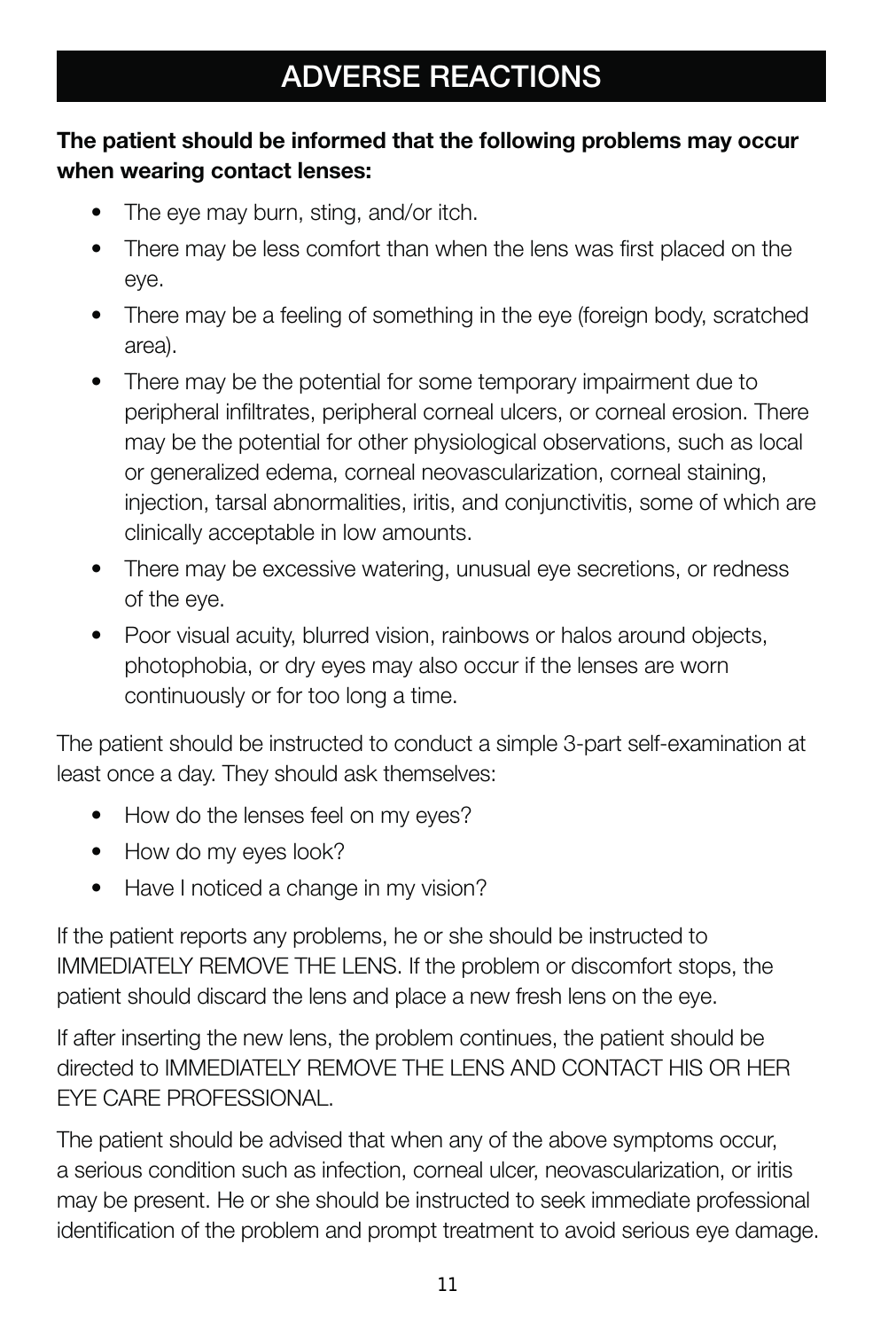# **ADVERSE REACTIONS**

#### **The patient should be informed that the following problems may occur when wearing contact lenses:**

- The eye may burn, sting, and/or itch.
- There may be less comfort than when the lens was first placed on the eye.
- There may be a feeling of something in the eye (foreign body, scratched area).
- There may be the potential for some temporary impairment due to peripheral infiltrates, peripheral corneal ulcers, or corneal erosion. There may be the potential for other physiological observations, such as local or generalized edema, corneal neovascularization, corneal staining, injection, tarsal abnormalities, iritis, and conjunctivitis, some of which are clinically acceptable in low amounts.
- There may be excessive watering, unusual eye secretions, or redness of the eye.
- Poor visual acuity, blurred vision, rainbows or halos around objects, photophobia, or dry eyes may also occur if the lenses are worn continuously or for too long a time.

The patient should be instructed to conduct a simple 3-part self-examination at least once a day. They should ask themselves:

- How do the lenses feel on my eyes?
- How do my eyes look?
- Have I noticed a change in my vision?

If the patient reports any problems, he or she should be instructed to IMMEDIATELY REMOVE THE LENS. If the problem or discomfort stops, the patient should discard the lens and place a new fresh lens on the eye.

If after inserting the new lens, the problem continues, the patient should be directed to IMMEDIATELY REMOVE THE LENS AND CONTACT HIS OR HER EYE CARE PROFESSIONAL.

The patient should be advised that when any of the above symptoms occur, a serious condition such as infection, corneal ulcer, neovascularization, or iritis may be present. He or she should be instructed to seek immediate professional identification of the problem and prompt treatment to avoid serious eye damage.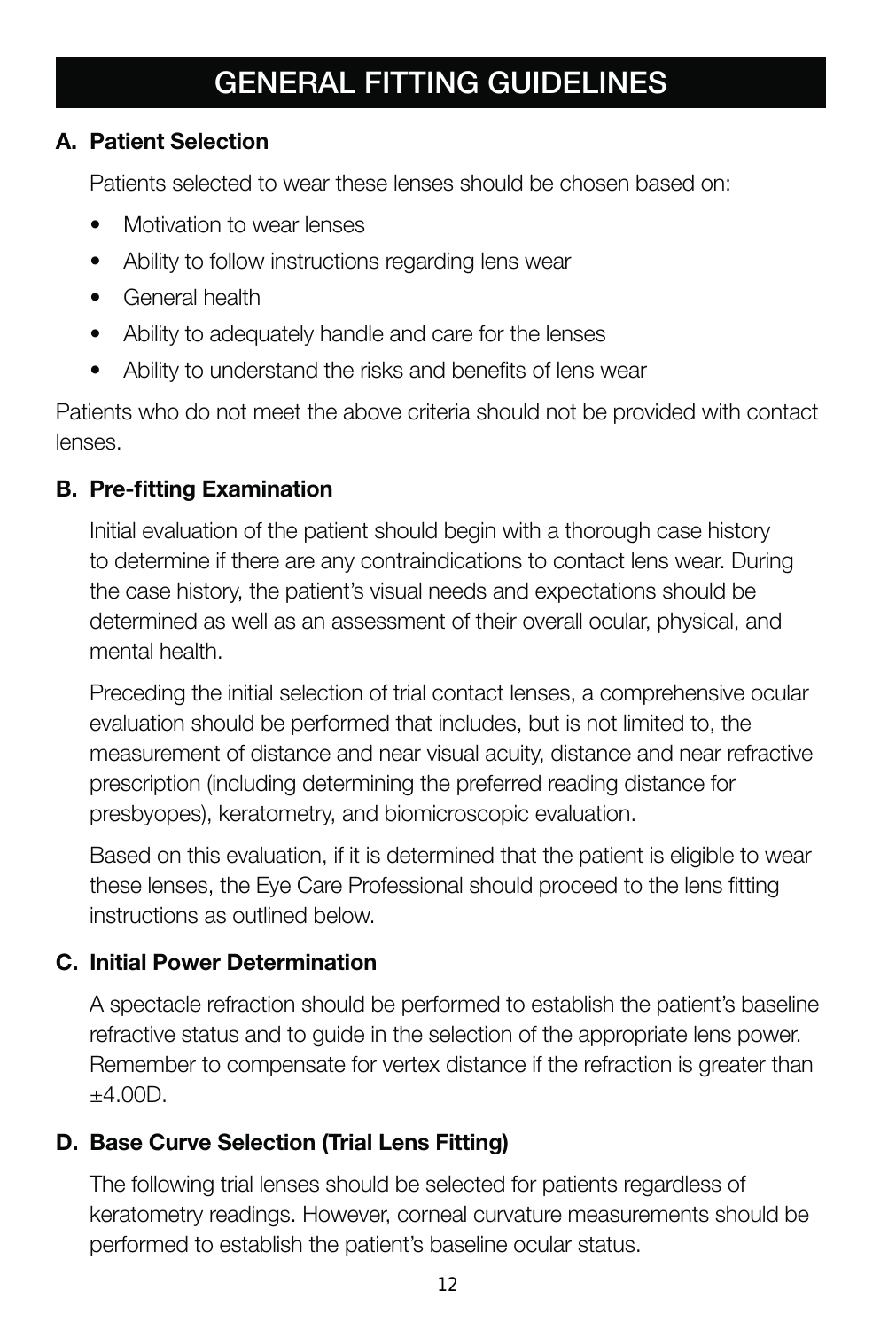# **GENERAL FITTING GUIDELINES**

#### **A. Patient Selection**

Patients selected to wear these lenses should be chosen based on:

- Motivation to wear lenses
- Ability to follow instructions regarding lens wear
- General health
- Ability to adequately handle and care for the lenses
- Ability to understand the risks and benefits of lens wear

Patients who do not meet the above criteria should not be provided with contact lenses.

#### **B. Pre-fitting Examination**

Initial evaluation of the patient should begin with a thorough case history to determine if there are any contraindications to contact lens wear. During the case history, the patient's visual needs and expectations should be determined as well as an assessment of their overall ocular, physical, and mental health.

Preceding the initial selection of trial contact lenses, a comprehensive ocular evaluation should be performed that includes, but is not limited to, the measurement of distance and near visual acuity, distance and near refractive prescription (including determining the preferred reading distance for presbyopes), keratometry, and biomicroscopic evaluation.

Based on this evaluation, if it is determined that the patient is eligible to wear these lenses, the Eye Care Professional should proceed to the lens fitting instructions as outlined below.

#### **C. Initial Power Determination**

A spectacle refraction should be performed to establish the patient's baseline refractive status and to guide in the selection of the appropriate lens power. Remember to compensate for vertex distance if the refraction is greater than  $+4.00D.$ 

#### **D. Base Curve Selection (Trial Lens Fitting)**

The following trial lenses should be selected for patients regardless of keratometry readings. However, corneal curvature measurements should be performed to establish the patient's baseline ocular status.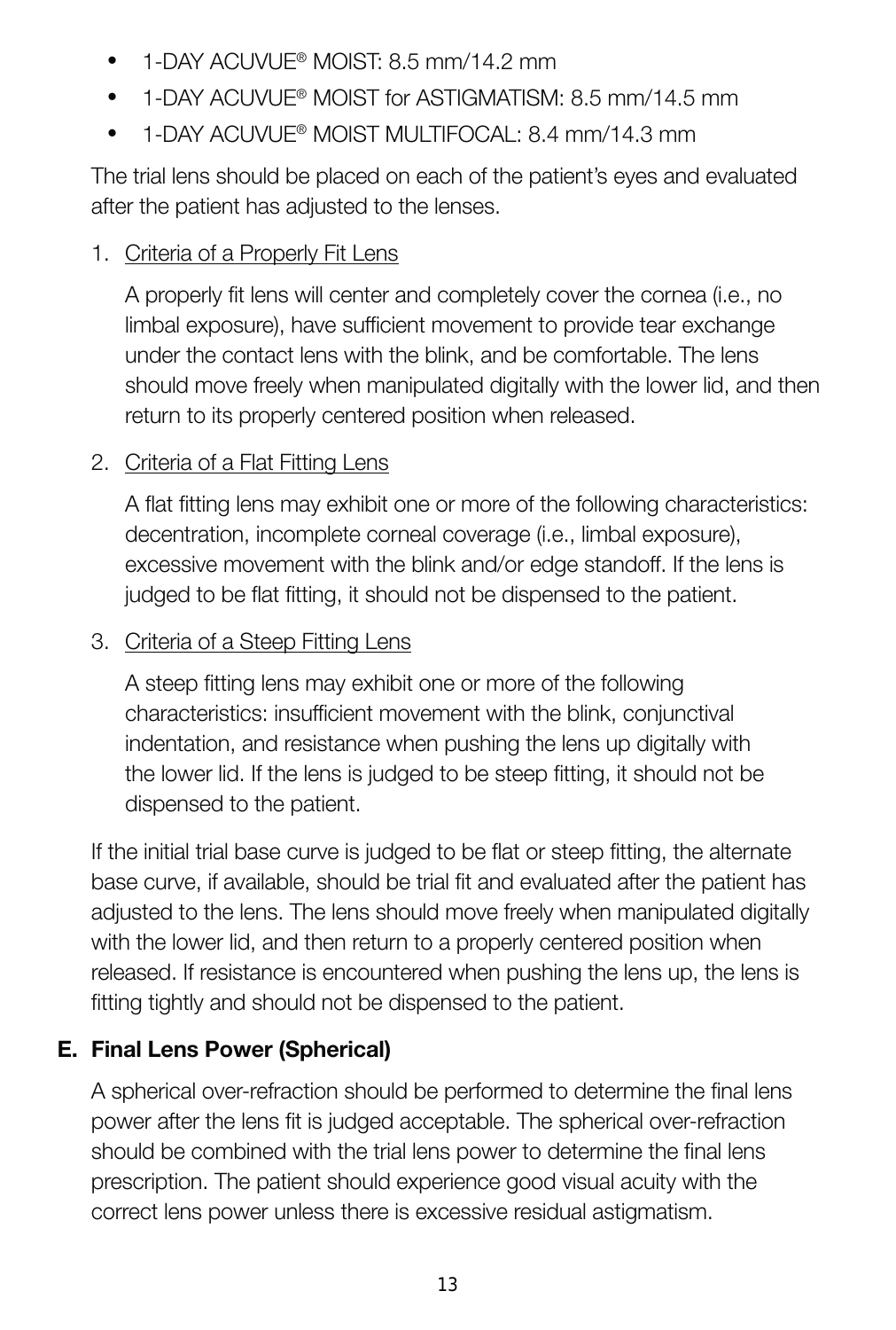- $\bullet$  1-DAY ACUVUE® MOIST: 8.5 mm/14.2 mm
- 1-DAY ACLIVUE® MOIST for ASTIGMATISM: 8.5 mm/14.5 mm
- $\bullet$  1-DAY ACUVUE® MOIST MULTIFOCAL: 8.4 mm/14.3 mm

The trial lens should be placed on each of the patient's eyes and evaluated after the patient has adjusted to the lenses.

#### 1. Criteria of a Properly Fit Lens

A properly fi t lens will center and completely cover the cornea (i.e., no limbal exposure), have sufficient movement to provide tear exchange under the contact lens with the blink, and be comfortable. The lens should move freely when manipulated digitally with the lower lid, and then return to its properly centered position when released.

#### 2. Criteria of a Flat Fitting Lens

A flat fitting lens may exhibit one or more of the following characteristics: decentration, incomplete corneal coverage (i.e., limbal exposure), excessive movement with the blink and/or edge standoff. If the lens is judged to be flat fitting, it should not be dispensed to the patient.

#### 3. Criteria of a Steep Fitting Lens

A steep fitting lens may exhibit one or more of the following characteristics: insufficient movement with the blink, conjunctival indentation, and resistance when pushing the lens up digitally with the lower lid. If the lens is judged to be steep fitting, it should not be dispensed to the patient.

If the initial trial base curve is judged to be flat or steep fitting, the alternate base curve, if available, should be trial fit and evaluated after the patient has adjusted to the lens. The lens should move freely when manipulated digitally with the lower lid, and then return to a properly centered position when released. If resistance is encountered when pushing the lens up, the lens is fitting tightly and should not be dispensed to the patient.

#### **E. Final Lens Power (Spherical)**

A spherical over-refraction should be performed to determine the final lens power after the lens fit is judged acceptable. The spherical over-refraction should be combined with the trial lens power to determine the final lens prescription. The patient should experience good visual acuity with the correct lens power unless there is excessive residual astigmatism.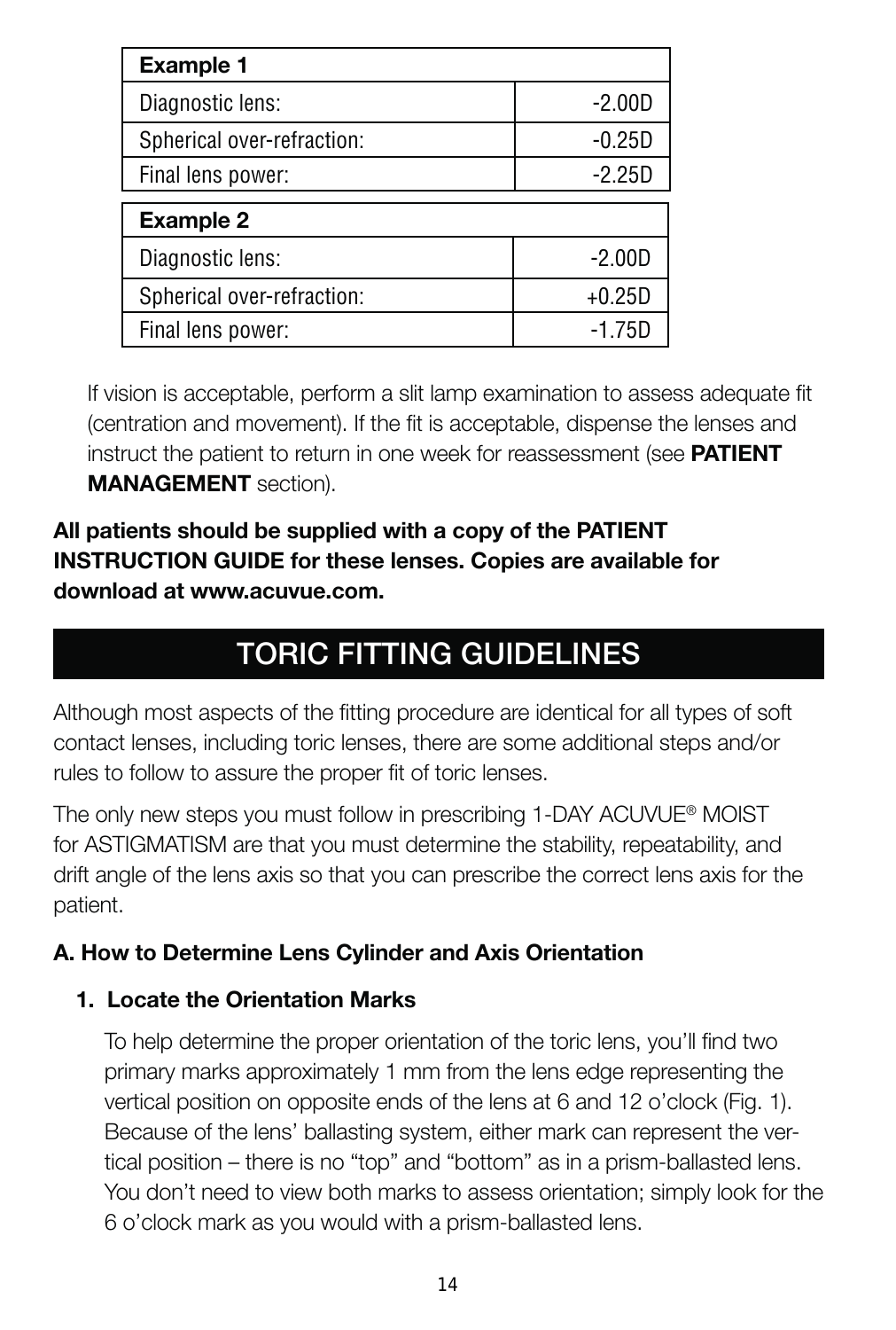| <b>Example 1</b>           |          |
|----------------------------|----------|
| Diagnostic lens:           | $-2.00D$ |
| Spherical over-refraction: | $-0.25D$ |
| Final lens power:          | $-2.25D$ |
| Example 2                  |          |
| Diagnostic lens:           | $-2.00D$ |
| Spherical over-refraction: | $+0.25D$ |
| Final lens power:          | $-1.75C$ |

If vision is acceptable, perform a slit lamp examination to assess adequate fit (centration and movement). If the fit is acceptable, dispense the lenses and instruct the patient to return in one week for reassessment (see **PATIENT MANAGEMENT** section).

#### **All patients should be supplied with a copy of the PATIENT INSTRUCTION GUIDE for these lenses. Copies are available for download at www.acuvue.com.**

# **TORIC FITTING GUIDELINES**

Although most aspects of the fitting procedure are identical for all types of soft contact lenses, including toric lenses, there are some additional steps and/or rules to follow to assure the proper fit of toric lenses.

The only new steps you must follow in prescribing 1-DAY ACUVUE® MOIST for ASTIGMATISM are that you must determine the stability, repeatability, and drift angle of the lens axis so that you can prescribe the correct lens axis for the patient.

#### **A. How to Determine Lens Cylinder and Axis Orientation**

#### **1. Locate the Orientation Marks**

To help determine the proper orientation of the toric lens, you'll find two primary marks approximately 1 mm from the lens edge representing the vertical position on opposite ends of the lens at 6 and 12 o'clock (Fig. 1). Because of the lens' ballasting system, either mark can represent the vertical position – there is no "top" and "bottom" as in a prism-ballasted lens. You don't need to view both marks to assess orientation; simply look for the 6 o'clock mark as you would with a prism-ballasted lens.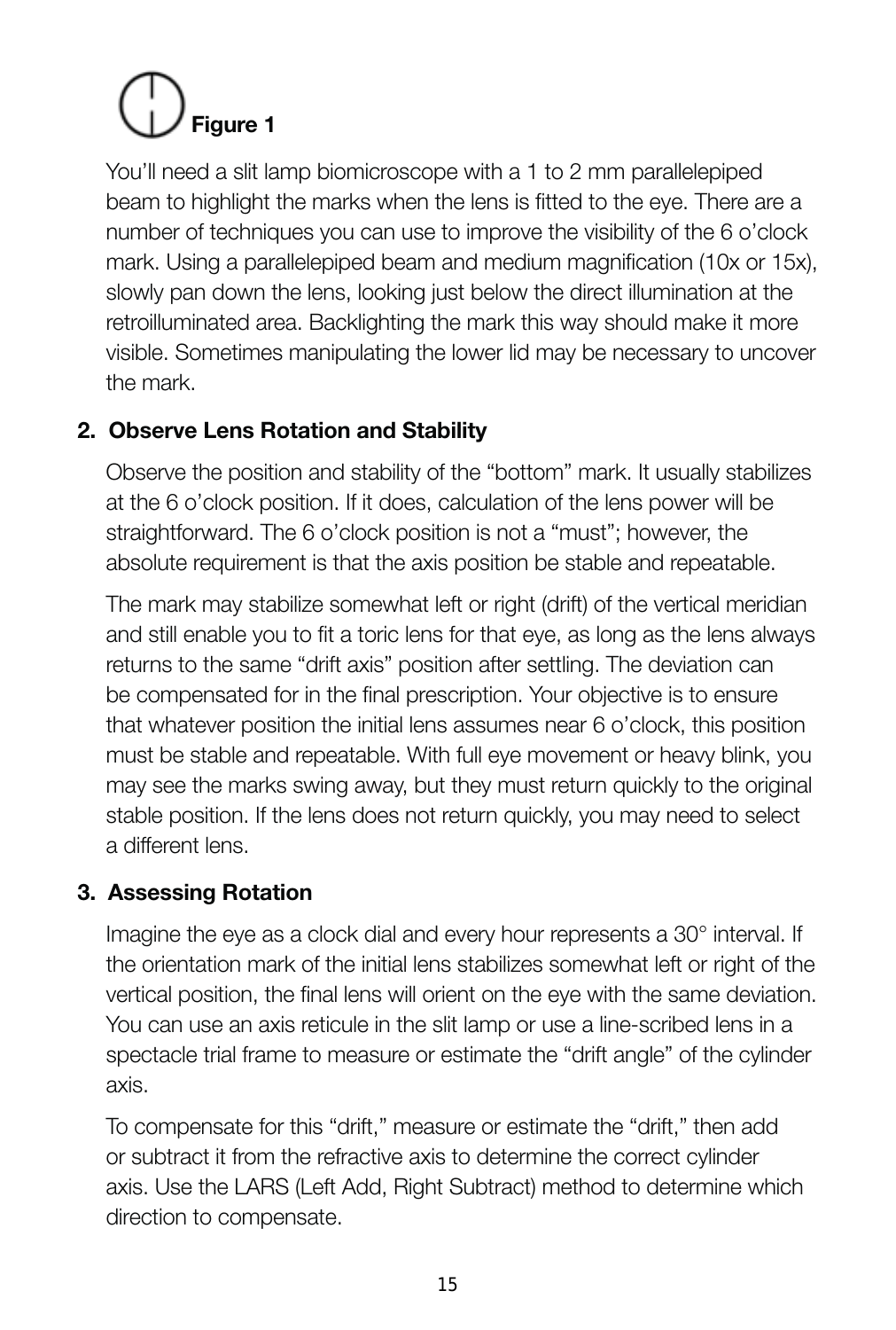# **Figure 1**

You'll need a slit lamp biomicroscope with a 1 to 2 mm parallelepiped beam to highlight the marks when the lens is fitted to the eye. There are a number of techniques you can use to improve the visibility of the 6 o'clock mark. Using a parallelepiped beam and medium magnification (10x or 15x). slowly pan down the lens, looking just below the direct illumination at the retroilluminated area. Backlighting the mark this way should make it more visible. Sometimes manipulating the lower lid may be necessary to uncover the mark.

#### **2. Observe Lens Rotation and Stability**

Observe the position and stability of the "bottom" mark. It usually stabilizes at the 6 o'clock position. If it does, calculation of the lens power will be straightforward. The 6 o'clock position is not a "must"; however, the absolute requirement is that the axis position be stable and repeatable.

The mark may stabilize somewhat left or right (drift) of the vertical meridian and still enable you to fit a toric lens for that eye, as long as the lens always returns to the same "drift axis" position after settling. The deviation can be compensated for in the final prescription. Your objective is to ensure that whatever position the initial lens assumes near 6 o'clock, this position must be stable and repeatable. With full eye movement or heavy blink, you may see the marks swing away, but they must return quickly to the original stable position. If the lens does not return quickly, you may need to select a different lens.

#### **3. Assessing Rotation**

Imagine the eye as a clock dial and every hour represents a 30° interval. If the orientation mark of the initial lens stabilizes somewhat left or right of the vertical position, the final lens will orient on the eye with the same deviation. You can use an axis reticule in the slit lamp or use a line-scribed lens in a spectacle trial frame to measure or estimate the "drift angle" of the cylinder axis.

To compensate for this "drift," measure or estimate the "drift," then add or subtract it from the refractive axis to determine the correct cylinder axis. Use the LARS (Left Add, Right Subtract) method to determine which direction to compensate.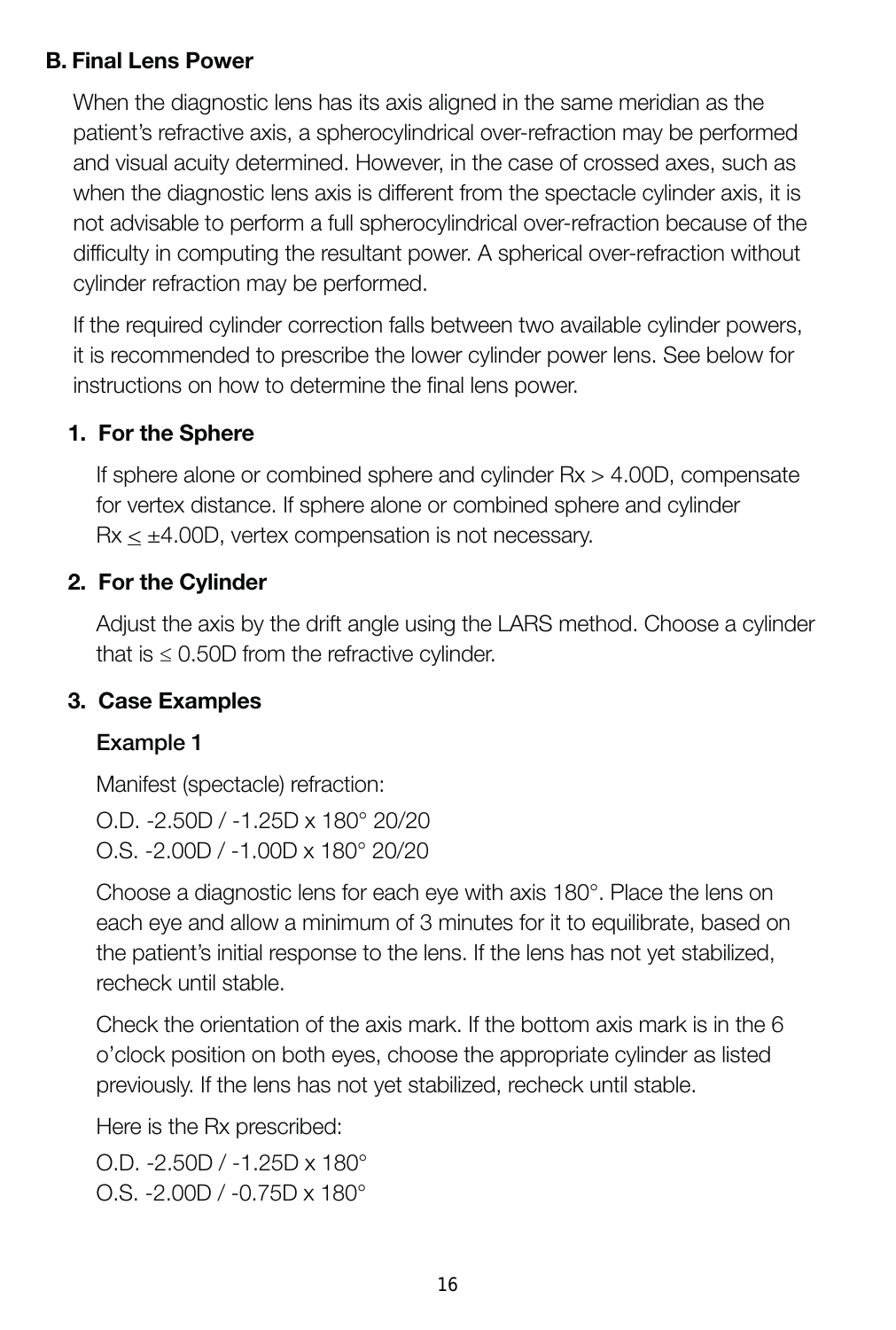#### **B. Final Lens Power**

When the diagnostic lens has its axis aligned in the same meridian as the patient's refractive axis, a spherocylindrical over-refraction may be performed and visual acuity determined. However, in the case of crossed axes, such as when the diagnostic lens axis is different from the spectacle cylinder axis, it is not advisable to perform a full spherocylindrical over-refraction because of the difficulty in computing the resultant power. A spherical over-refraction without cylinder refraction may be performed.

If the required cylinder correction falls between two available cylinder powers, it is recommended to prescribe the lower cylinder power lens. See below for instructions on how to determine the final lens power.

#### **1. For the Sphere**

If sphere alone or combined sphere and cylinder Rx > 4.00D, compensate for vertex distance. If sphere alone or combined sphere and cylinder  $Rx <  $\pm$ 4.00D$ , vertex compensation is not necessary.

#### **2. For the Cylinder**

Adjust the axis by the drift angle using the LARS method. Choose a cylinder that is  $\leq 0.50D$  from the refractive cylinder.

#### **3. Case Examples**

#### **Example 1**

Manifest (spectacle) refraction: O.D. -2.50D / -1.25D x 180° 20/20 O.S. -2.00D / -1.00D x 180° 20/20

Choose a diagnostic lens for each eye with axis 180°. Place the lens on each eye and allow a minimum of 3 minutes for it to equilibrate, based on the patient's initial response to the lens. If the lens has not yet stabilized, recheck until stable.

Check the orientation of the axis mark. If the bottom axis mark is in the 6 o'clock position on both eyes, choose the appropriate cylinder as listed previously. If the lens has not yet stabilized, recheck until stable.

Here is the Rx prescribed:

O.D. -2.50D / -1.25D x 180° O.S. -2.00D / -0.75D x 180°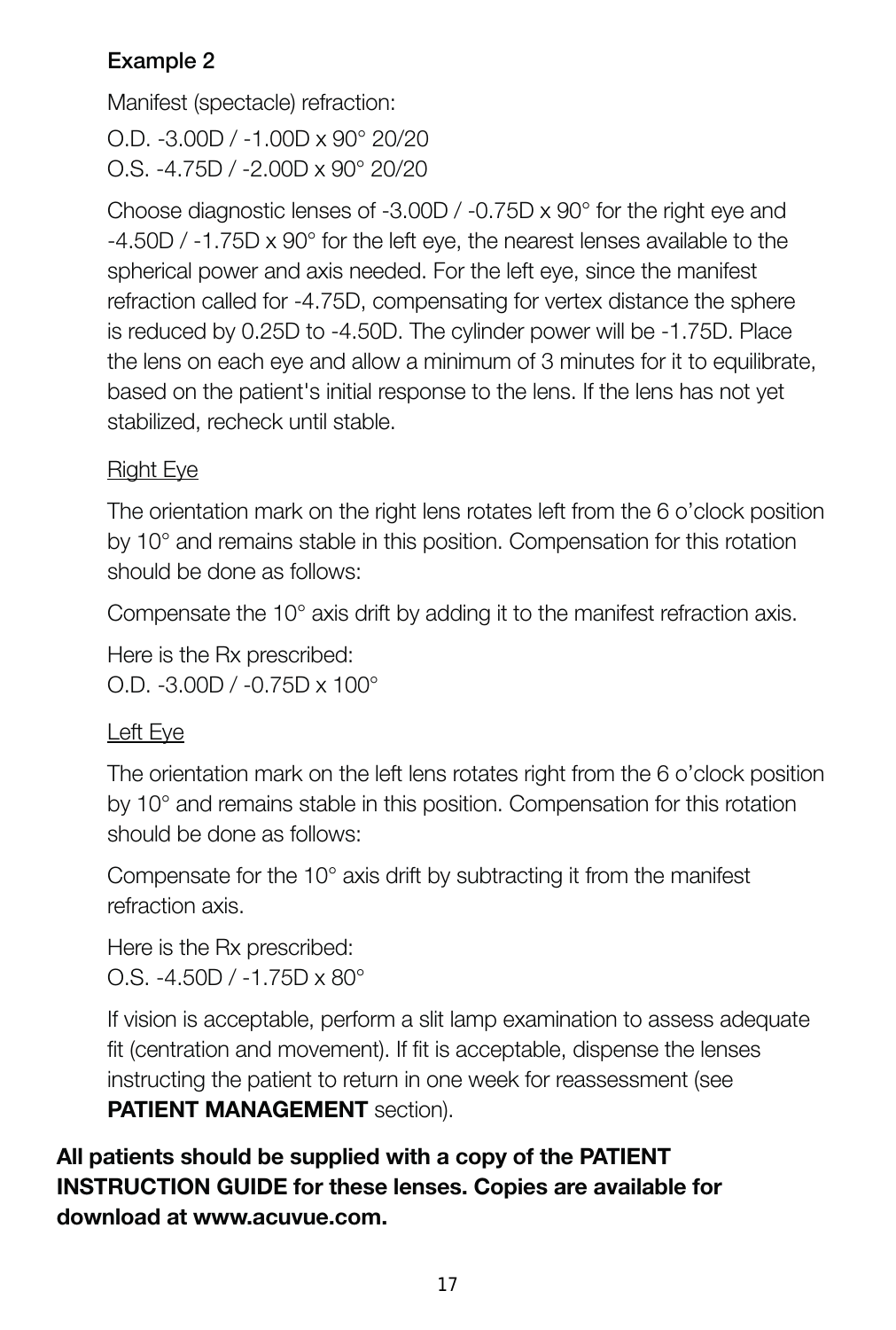#### **Example 2**

Manifest (spectacle) refraction:

O.D. -3.00D / -1.00D x 90° 20/20 O.S. -4.75D / -2.00D x 90° 20/20

Choose diagnostic lenses of -3.00D / -0.75D x 90° for the right eye and -4.50D / -1.75D x 90° for the left eye, the nearest lenses available to the spherical power and axis needed. For the left eye, since the manifest refraction called for -4.75D, compensating for vertex distance the sphere is reduced by 0.25D to -4.50D. The cylinder power will be -1.75D. Place the lens on each eye and allow a minimum of 3 minutes for it to equilibrate, based on the patient's initial response to the lens. If the lens has not yet stabilized, recheck until stable.

#### Right Eye

The orientation mark on the right lens rotates left from the 6 o'clock position by 10° and remains stable in this position. Compensation for this rotation should be done as follows:

Compensate the 10° axis drift by adding it to the manifest refraction axis.

Here is the Rx prescribed: O.D. -3.00D / -0.75D x 100°

#### Left Eye

The orientation mark on the left lens rotates right from the 6 o'clock position by 10° and remains stable in this position. Compensation for this rotation should be done as follows:

Compensate for the 10° axis drift by subtracting it from the manifest refraction axis.

Here is the Rx prescribed: O.S. -4.50D / -1.75D x 80°

If vision is acceptable, perform a slit lamp examination to assess adequate fit (centration and movement). If fit is acceptable, dispense the lenses instructing the patient to return in one week for reassessment (see **PATIENT MANAGEMENT** section).

**All patients should be supplied with a copy of the PATIENT INSTRUCTION GUIDE for these lenses. Copies are available for download at www.acuvue.com.**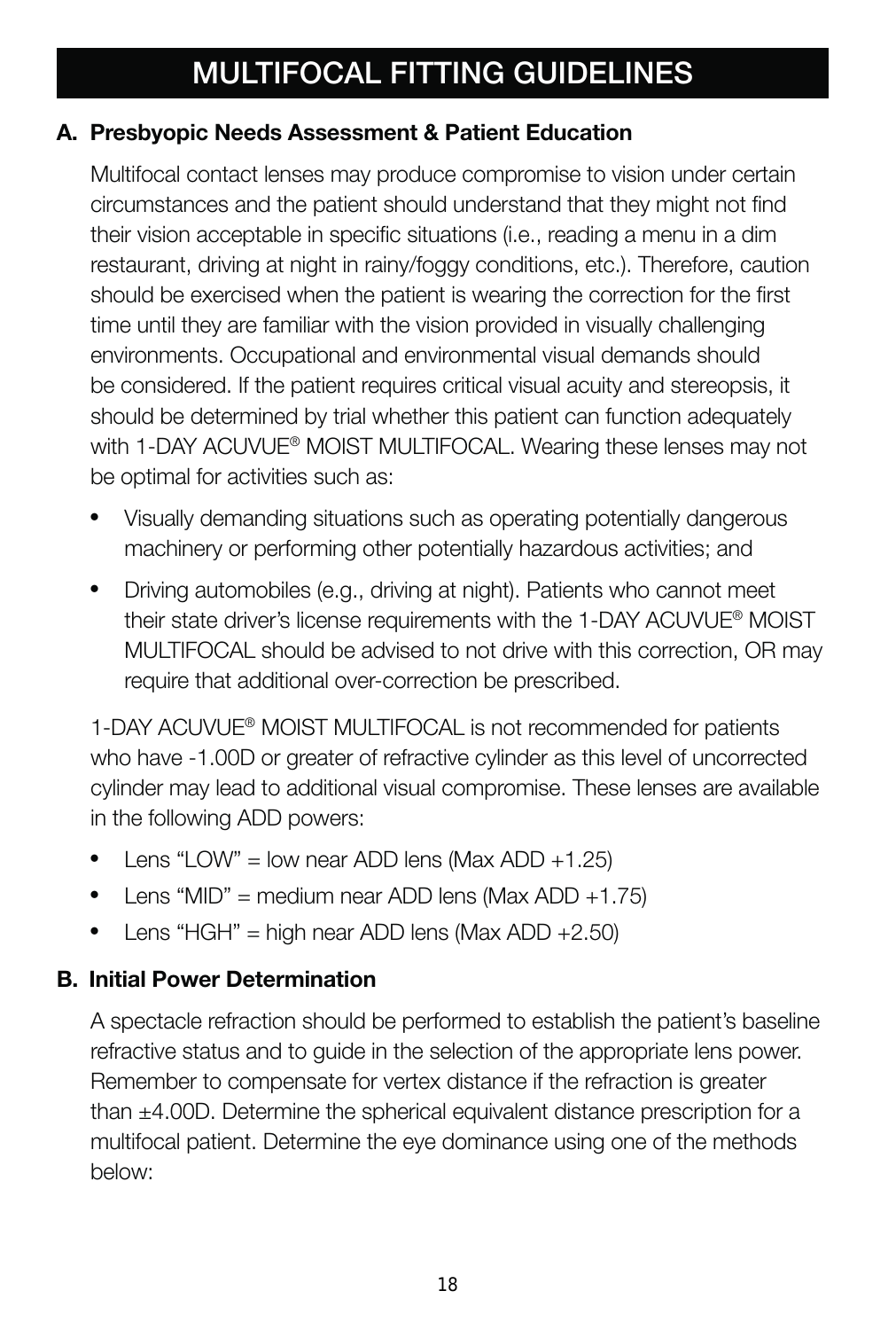# **MULTIFOCAL FITTING GUIDELINES**

#### **A. Presbyopic Needs Assessment & Patient Education**

Multifocal contact lenses may produce compromise to vision under certain circumstances and the patient should understand that they might not find their vision acceptable in specific situations (i.e., reading a menu in a dim restaurant, driving at night in rainy/foggy conditions, etc.). Therefore, caution should be exercised when the patient is wearing the correction for the first time until they are familiar with the vision provided in visually challenging environments. Occupational and environmental visual demands should be considered. If the patient requires critical visual acuity and stereopsis, it should be determined by trial whether this patient can function adequately with 1-DAY ACUVUE® MOIST MULTIFOCAL. Wearing these lenses may not be optimal for activities such as:

- Visually demanding situations such as operating potentially dangerous machinery or performing other potentially hazardous activities; and
- Driving automobiles (e.g., driving at night). Patients who cannot meet their state driver's license requirements with the 1-DAY ACUVUE® MOIST MULTIFOCAL should be advised to not drive with this correction, OR may require that additional over-correction be prescribed.

1-DAY ACLIVUE® MOIST MULTIFOCAL is not recommended for patients who have -1.00D or greater of refractive cylinder as this level of uncorrected cylinder may lead to additional visual compromise. These lenses are available in the following ADD powers:

- Lens "LOW" = low near ADD lens (Max ADD +1.25)
- Lens "MID" = medium near ADD lens (Max ADD +1.75)
- Lens "HGH" = high near ADD lens (Max ADD +2.50)

#### **B. Initial Power Determination**

A spectacle refraction should be performed to establish the patient's baseline refractive status and to guide in the selection of the appropriate lens power. Remember to compensate for vertex distance if the refraction is greater than ±4.00D. Determine the spherical equivalent distance prescription for a multifocal patient. Determine the eye dominance using one of the methods below: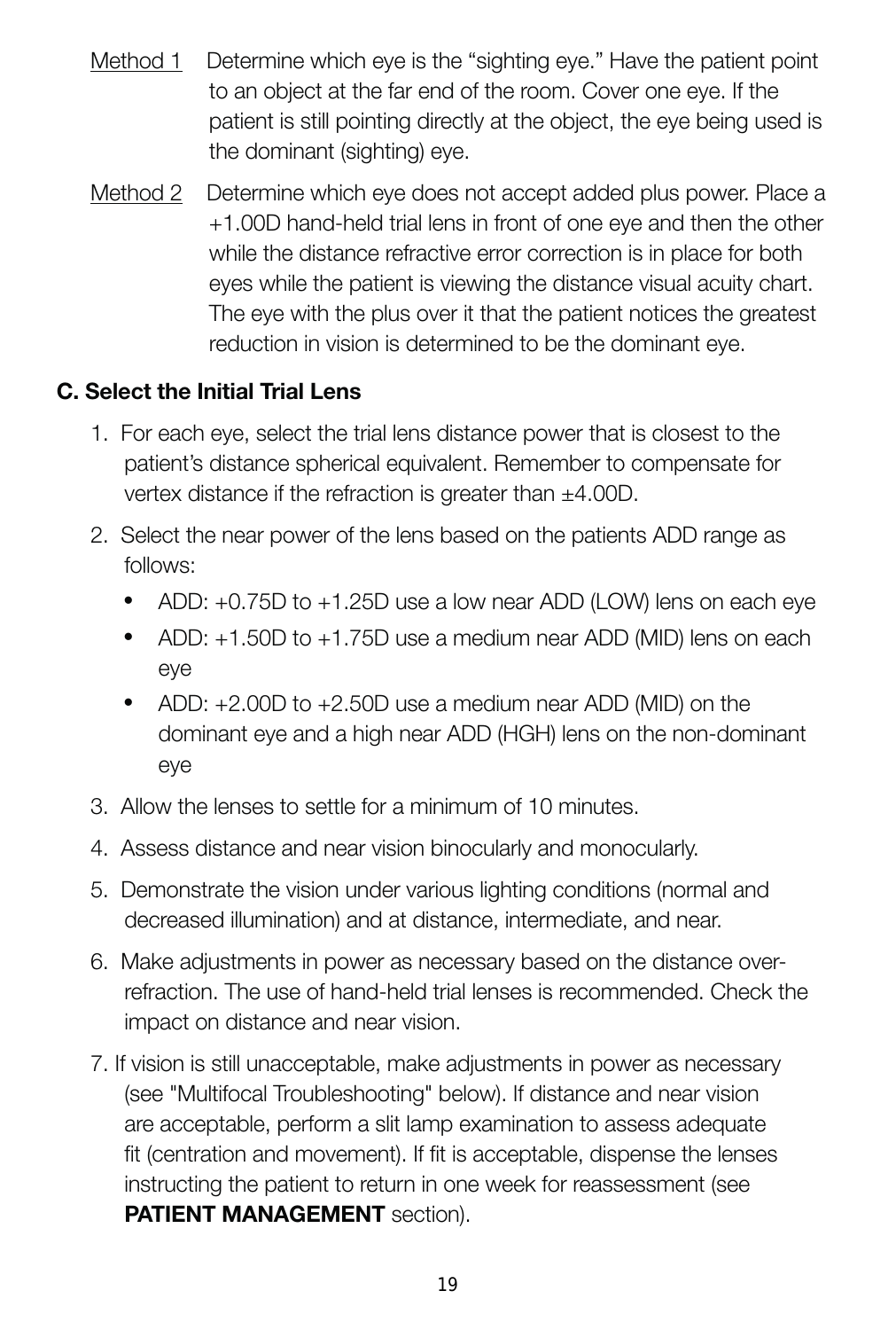- Method 1 Determine which eye is the "sighting eye." Have the patient point to an object at the far end of the room. Cover one eye. If the patient is still pointing directly at the object, the eye being used is the dominant (sighting) eye.
- Method 2 Determine which eye does not accept added plus power. Place a +1.00D hand-held trial lens in front of one eye and then the other while the distance refractive error correction is in place for both eyes while the patient is viewing the distance visual acuity chart. The eye with the plus over it that the patient notices the greatest reduction in vision is determined to be the dominant eye.

#### **C. Select the Initial Trial Lens**

- 1. For each eye, select the trial lens distance power that is closest to the patient's distance spherical equivalent. Remember to compensate for vertex distance if the refraction is greater than ±4.00D.
- 2. Select the near power of the lens based on the patients ADD range as follows:
	- ADD: +0.75D to +1.25D use a low near ADD (LOW) lens on each eye
	- ADD: +1.50D to +1.75D use a medium near ADD (MID) lens on each eye
	- ADD: +2.00D to +2.50D use a medium near ADD (MID) on the dominant eye and a high near ADD (HGH) lens on the non-dominant eye
- 3. Allow the lenses to settle for a minimum of 10 minutes.
- 4. Assess distance and near vision binocularly and monocularly.
- 5. Demonstrate the vision under various lighting conditions (normal and decreased illumination) and at distance, intermediate, and near.
- 6. Make adjustments in power as necessary based on the distance overrefraction. The use of hand-held trial lenses is recommended. Check the impact on distance and near vision.
- 7. If vision is still unacceptable, make adjustments in power as necessary (see "Multifocal Troubleshooting" below). If distance and near vision are acceptable, perform a slit lamp examination to assess adequate fit (centration and movement). If fit is acceptable, dispense the lenses instructing the patient to return in one week for reassessment (see **PATIENT MANAGEMENT** section).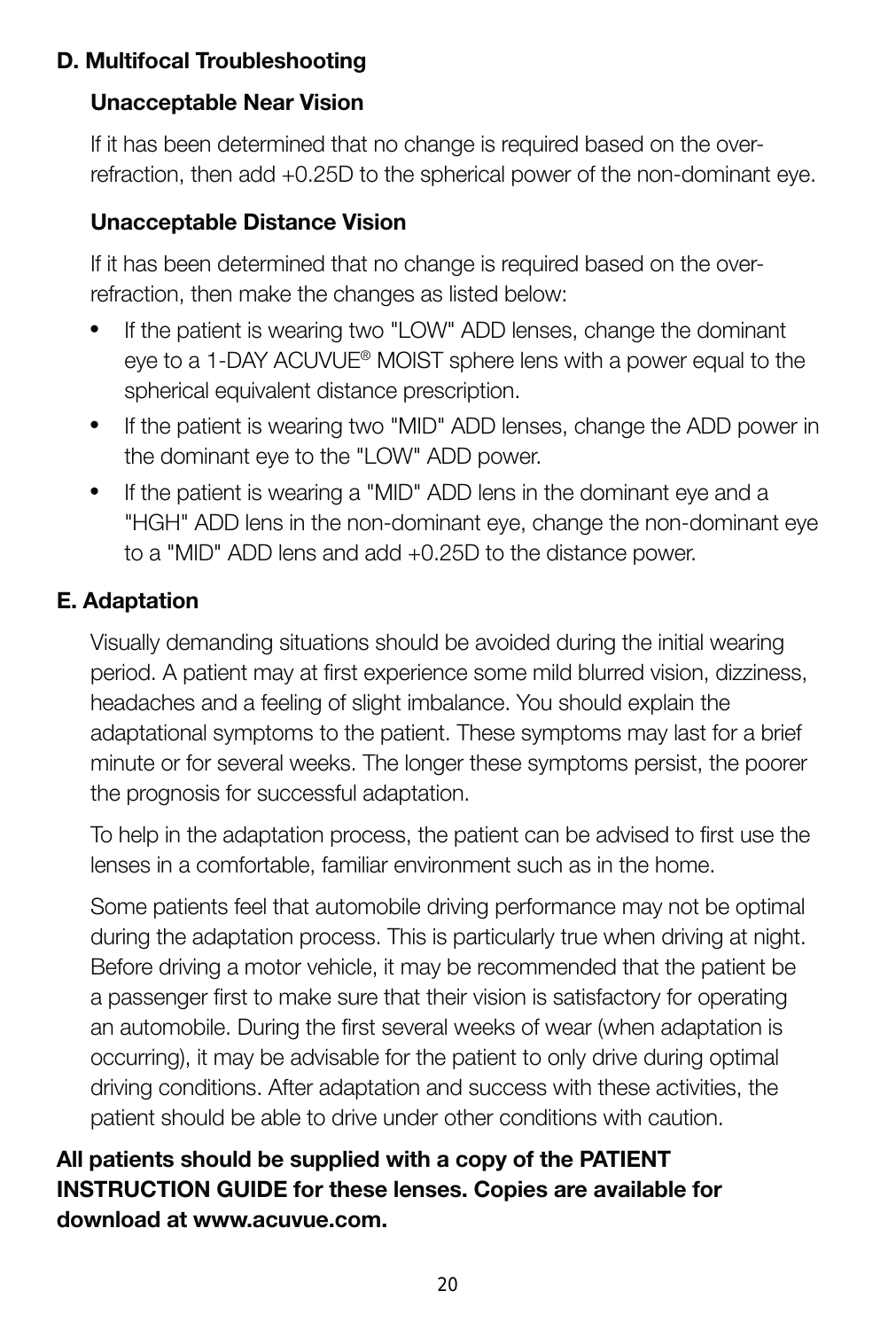#### **D. Multifocal Troubleshooting**

#### **Unacceptable Near Vision**

If it has been determined that no change is required based on the overrefraction, then add +0.25D to the spherical power of the non-dominant eye.

#### **Unacceptable Distance Vision**

If it has been determined that no change is required based on the overrefraction, then make the changes as listed below:

- If the patient is wearing two "LOW" ADD lenses, change the dominant eye to a 1-DAY ACUVUE® MOIST sphere lens with a power equal to the spherical equivalent distance prescription.
- If the patient is wearing two "MID" ADD lenses, change the ADD power in the dominant eye to the "LOW" ADD power.
- If the patient is wearing a "MID" ADD lens in the dominant eye and a "HGH" ADD lens in the non-dominant eye, change the non-dominant eye to a "MID" ADD lens and add +0.25D to the distance power.

#### **E. Adaptation**

Visually demanding situations should be avoided during the initial wearing period. A patient may at first experience some mild blurred vision, dizziness, headaches and a feeling of slight imbalance. You should explain the adaptational symptoms to the patient. These symptoms may last for a brief minute or for several weeks. The longer these symptoms persist, the poorer the prognosis for successful adaptation.

To help in the adaptation process, the patient can be advised to first use the lenses in a comfortable, familiar environment such as in the home.

Some patients feel that automobile driving performance may not be optimal during the adaptation process. This is particularly true when driving at night. Before driving a motor vehicle, it may be recommended that the patient be a passenger first to make sure that their vision is satisfactory for operating an automobile. During the first several weeks of wear (when adaptation is occurring), it may be advisable for the patient to only drive during optimal driving conditions. After adaptation and success with these activities, the patient should be able to drive under other conditions with caution.

#### **All patients should be supplied with a copy of the PATIENT INSTRUCTION GUIDE for these lenses. Copies are available for download at www.acuvue.com.**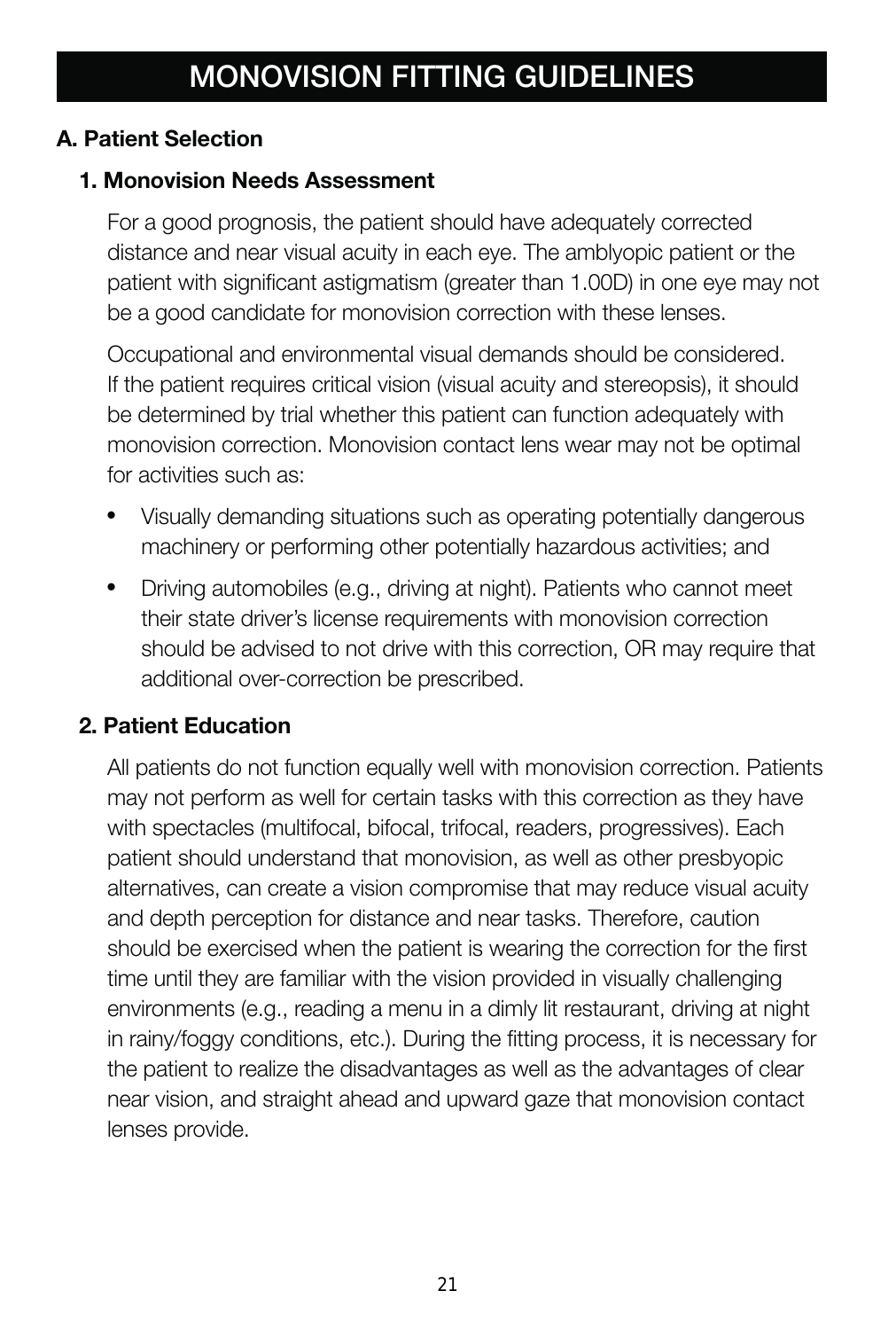#### **A. Patient Selection**

#### **1. Monovision Needs Assessment**

For a good prognosis, the patient should have adequately corrected distance and near visual acuity in each eye. The amblyopic patient or the patient with significant astigmatism (greater than 1.00D) in one eye may not be a good candidate for monovision correction with these lenses.

Occupational and environmental visual demands should be considered. If the patient requires critical vision (visual acuity and stereopsis), it should be determined by trial whether this patient can function adequately with monovision correction. Monovision contact lens wear may not be optimal for activities such as:

- Visually demanding situations such as operating potentially dangerous machinery or performing other potentially hazardous activities; and
- Driving automobiles (e.g., driving at night). Patients who cannot meet their state driver's license requirements with monovision correction should be advised to not drive with this correction, OR may require that additional over-correction be prescribed.

#### **2. Patient Education**

All patients do not function equally well with monovision correction. Patients may not perform as well for certain tasks with this correction as they have with spectacles (multifocal, bifocal, trifocal, readers, progressives). Each patient should understand that monovision, as well as other presbyopic alternatives, can create a vision compromise that may reduce visual acuity and depth perception for distance and near tasks. Therefore, caution should be exercised when the patient is wearing the correction for the first time until they are familiar with the vision provided in visually challenging environments (e.g., reading a menu in a dimly lit restaurant, driving at night in rainy/foggy conditions, etc.). During the fitting process, it is necessary for the patient to realize the disadvantages as well as the advantages of clear near vision, and straight ahead and upward gaze that monovision contact lenses provide.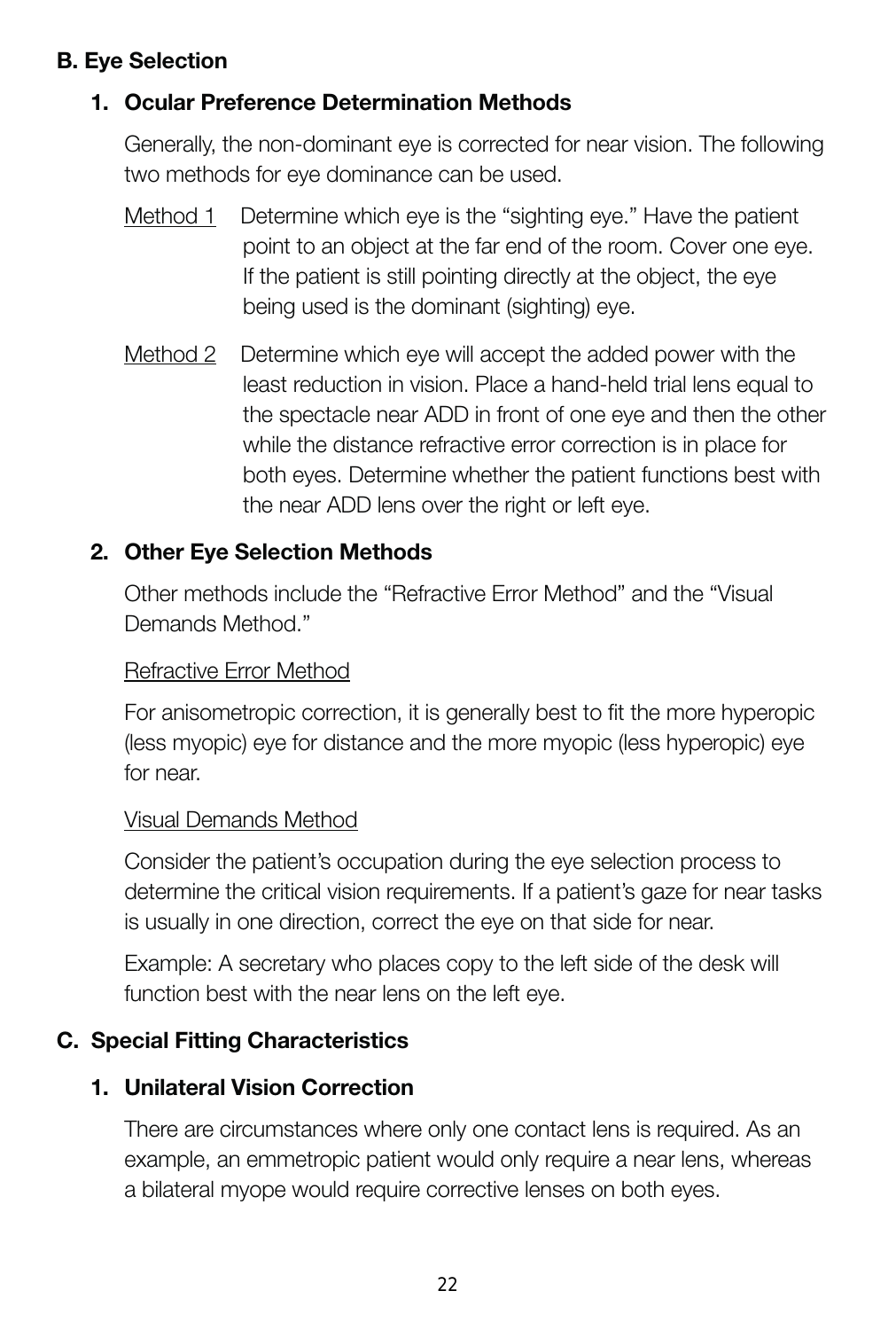#### **B. Eye Selection**

#### **1. Ocular Preference Determination Methods**

Generally, the non-dominant eye is corrected for near vision. The following two methods for eye dominance can be used.

- Method 1 Determine which eye is the "sighting eye." Have the patient point to an object at the far end of the room. Cover one eye. If the patient is still pointing directly at the object, the eye being used is the dominant (sighting) eye.
- Method 2 Determine which eye will accept the added power with the least reduction in vision. Place a hand-held trial lens equal to the spectacle near ADD in front of one eye and then the other while the distance refractive error correction is in place for both eyes. Determine whether the patient functions best with the near ADD lens over the right or left eye.

#### **2. Other Eye Selection Methods**

Other methods include the "Refractive Error Method" and the "Visual Demands Method."

#### Refractive Error Method

For anisometropic correction, it is generally best to fit the more hyperopic (less myopic) eye for distance and the more myopic (less hyperopic) eye for near.

#### Visual Demands Method

Consider the patient's occupation during the eye selection process to determine the critical vision requirements. If a patient's gaze for near tasks is usually in one direction, correct the eye on that side for near.

Example: A secretary who places copy to the left side of the desk will function best with the near lens on the left eve.

#### **C. Special Fitting Characteristics**

#### **1. Unilateral Vision Correction**

There are circumstances where only one contact lens is required. As an example, an emmetropic patient would only require a near lens, whereas a bilateral myope would require corrective lenses on both eyes.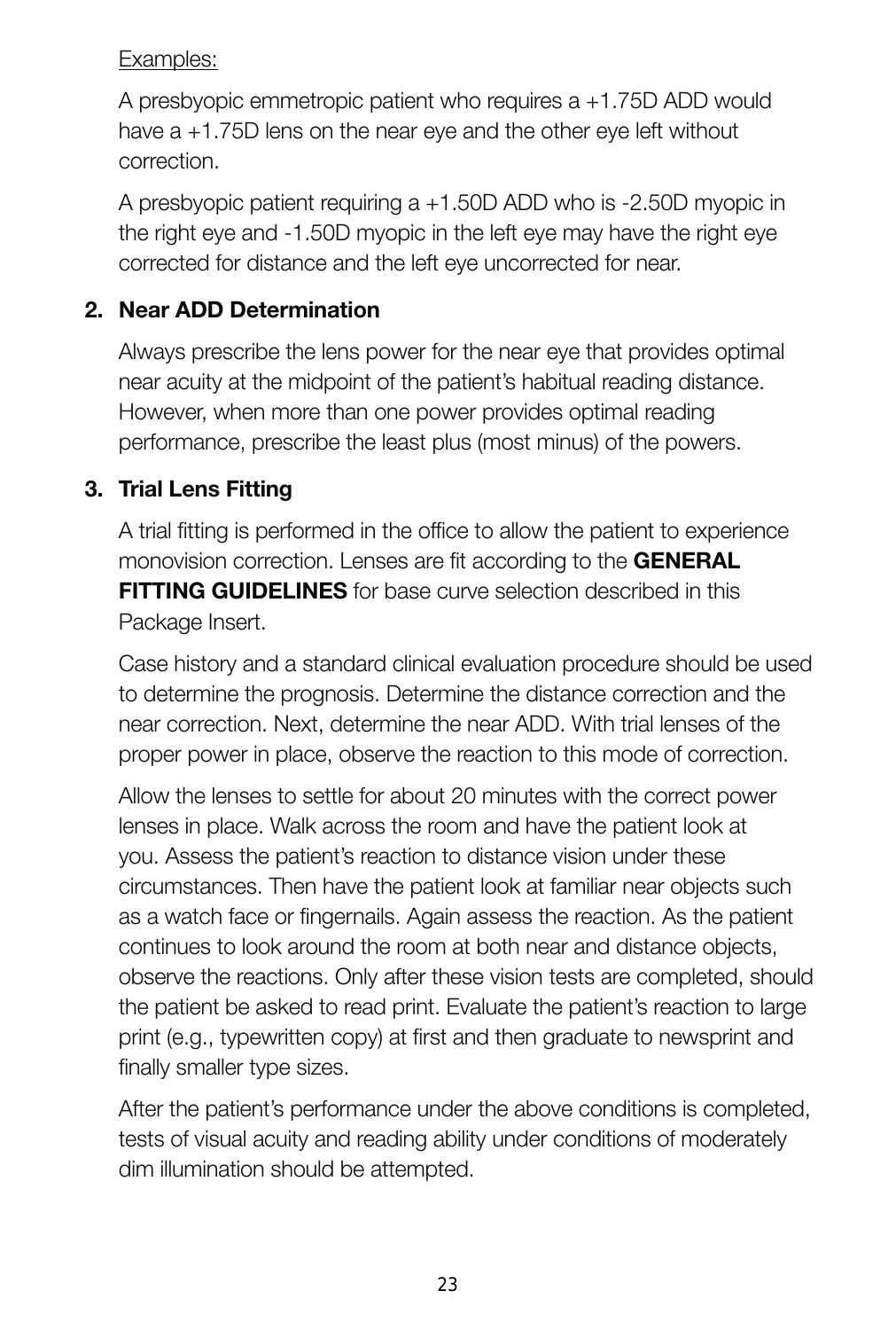#### Examples:

A presbyopic emmetropic patient who requires a +1.75D ADD would have a +1.75D lens on the near eye and the other eye left without correction.

A presbyopic patient requiring a +1.50D ADD who is -2.50D myopic in the right eye and -1.50D myopic in the left eye may have the right eye corrected for distance and the left eye uncorrected for near.

#### **2. Near ADD Determination**

Always prescribe the lens power for the near eye that provides optimal near acuity at the midpoint of the patient's habitual reading distance. However, when more than one power provides optimal reading performance, prescribe the least plus (most minus) of the powers.

#### **3. Trial Lens Fitting**

A trial fitting is performed in the office to allow the patient to experience monovision correction. Lenses are fit according to the **GENERAL FITTING GUIDELINES** for base curve selection described in this Package Insert.

Case history and a standard clinical evaluation procedure should be used to determine the prognosis. Determine the distance correction and the near correction. Next, determine the near ADD. With trial lenses of the proper power in place, observe the reaction to this mode of correction.

Allow the lenses to settle for about 20 minutes with the correct power lenses in place. Walk across the room and have the patient look at you. Assess the patient's reaction to distance vision under these circumstances. Then have the patient look at familiar near objects such as a watch face or fingernails. Again assess the reaction. As the patient continues to look around the room at both near and distance objects, observe the reactions. Only after these vision tests are completed, should the patient be asked to read print. Evaluate the patient's reaction to large print (e.g., typewritten copy) at first and then graduate to newsprint and finally smaller type sizes.

After the patient's performance under the above conditions is completed, tests of visual acuity and reading ability under conditions of moderately dim illumination should be attempted.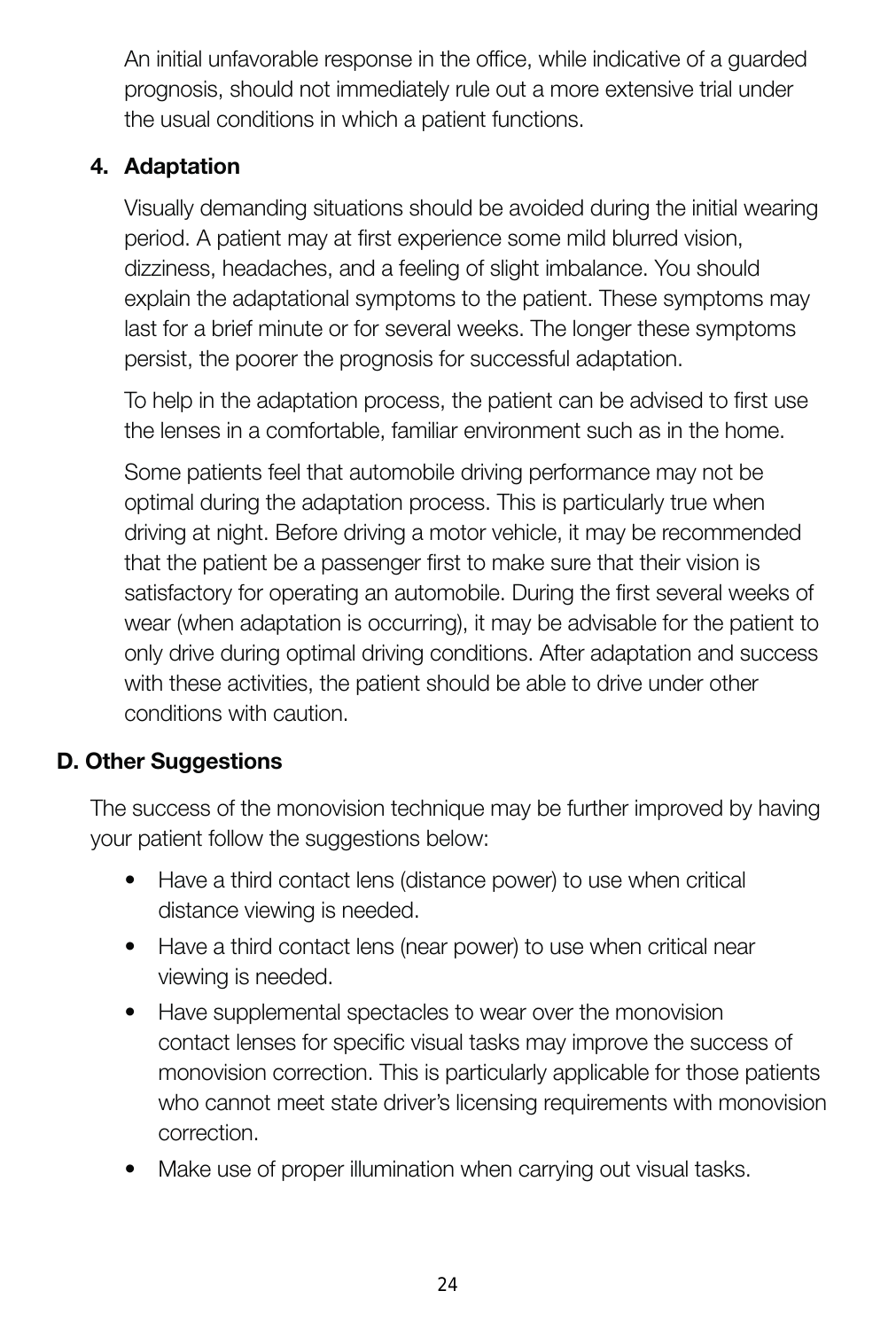An initial unfavorable response in the office, while indicative of a guarded prognosis, should not immediately rule out a more extensive trial under the usual conditions in which a patient functions.

#### **4. Adaptation**

Visually demanding situations should be avoided during the initial wearing period. A patient may at first experience some mild blurred vision, dizziness, headaches, and a feeling of slight imbalance. You should explain the adaptational symptoms to the patient. These symptoms may last for a brief minute or for several weeks. The longer these symptoms persist, the poorer the prognosis for successful adaptation.

To help in the adaptation process, the patient can be advised to first use the lenses in a comfortable, familiar environment such as in the home.

Some patients feel that automobile driving performance may not be optimal during the adaptation process. This is particularly true when driving at night. Before driving a motor vehicle, it may be recommended that the patient be a passenger first to make sure that their vision is satisfactory for operating an automobile. During the first several weeks of wear (when adaptation is occurring), it may be advisable for the patient to only drive during optimal driving conditions. After adaptation and success with these activities, the patient should be able to drive under other conditions with caution.

#### **D. Other Suggestions**

The success of the monovision technique may be further improved by having your patient follow the suggestions below:

- Have a third contact lens (distance power) to use when critical distance viewing is needed.
- Have a third contact lens (near power) to use when critical near viewing is needed.
- Have supplemental spectacles to wear over the monovision contact lenses for specific visual tasks may improve the success of monovision correction. This is particularly applicable for those patients who cannot meet state driver's licensing requirements with monovision correction.
- Make use of proper illumination when carrying out visual tasks.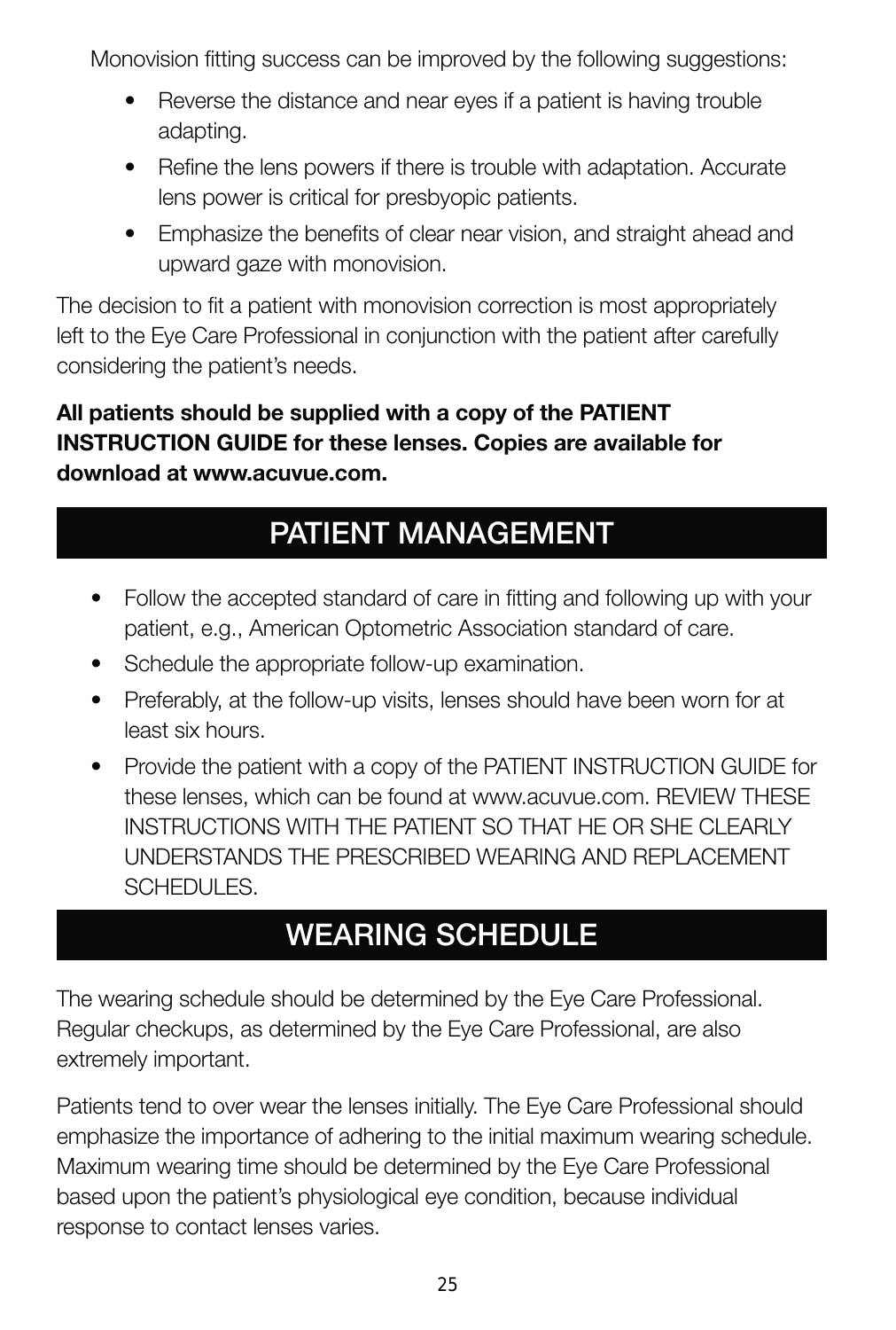Monovision fitting success can be improved by the following suggestions:

- Reverse the distance and near eyes if a patient is having trouble adapting.
- Refine the lens powers if there is trouble with adaptation. Accurate lens power is critical for presbyopic patients.
- Emphasize the benefits of clear near vision, and straight ahead and upward gaze with monovision.

The decision to fit a patient with monovision correction is most appropriately left to the Eye Care Professional in conjunction with the patient after carefully considering the patient's needs.

#### **All patients should be supplied with a copy of the PATIENT INSTRUCTION GUIDE for these lenses. Copies are available for download at www.acuvue.com.**

# **PATIENT MANAGEMENT**

- Follow the accepted standard of care in fitting and following up with your patient, e.g., American Optometric Association standard of care.
- Schedule the appropriate follow-up examination.
- Preferably, at the follow-up visits, lenses should have been worn for at least six hours.
- Provide the patient with a copy of the PATIENT INSTRUCTION GUIDE for these lenses, which can be found at www.acuvue.com. REVIEW THESE INSTRUCTIONS WITH THE PATIENT SO THAT HE OR SHE CLEARLY UNDERSTANDS THE PRESCRIBED WEARING AND REPLACEMENT SCHEDULES.

# **WEARING SCHEDULE**

The wearing schedule should be determined by the Eye Care Professional. Regular checkups, as determined by the Eye Care Professional, are also extremely important.

Patients tend to over wear the lenses initially. The Eye Care Professional should emphasize the importance of adhering to the initial maximum wearing schedule. Maximum wearing time should be determined by the Eye Care Professional based upon the patient's physiological eye condition, because individual response to contact lenses varies.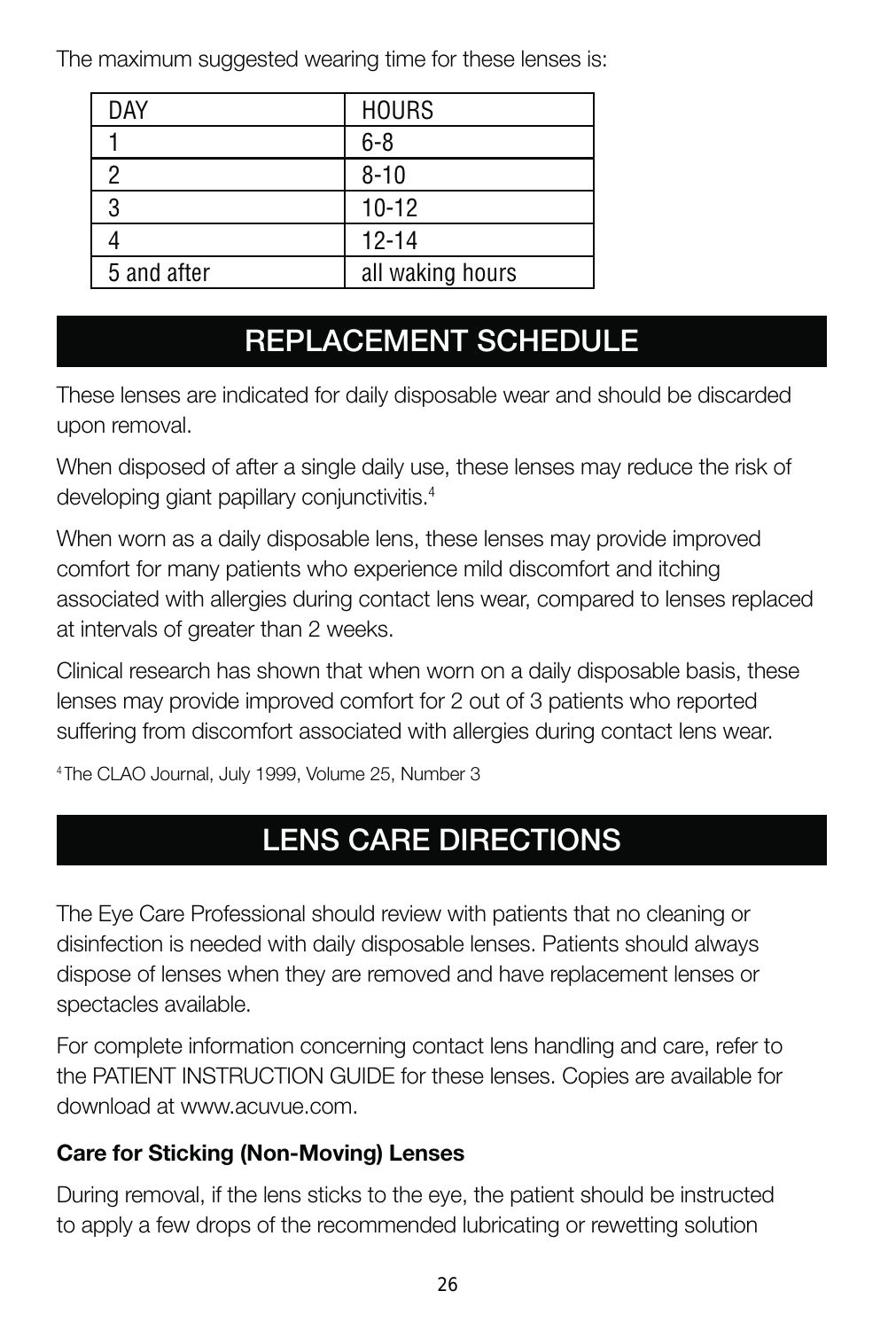The maximum suggested wearing time for these lenses is:

| DAY         | <b>HOURS</b>     |
|-------------|------------------|
|             | $6 - 8$          |
|             | $8 - 10$         |
| 3           | $10 - 12$        |
|             | $12 - 14$        |
| 5 and after | all waking hours |

# **REPLACEMENT SCHEDULE**

These lenses are indicated for daily disposable wear and should be discarded upon removal.

When disposed of after a single daily use, these lenses may reduce the risk of developing giant papillary conjunctivitis.<sup>4</sup>

When worn as a daily disposable lens, these lenses may provide improved comfort for many patients who experience mild discomfort and itching associated with allergies during contact lens wear, compared to lenses replaced at intervals of greater than 2 weeks.

Clinical research has shown that when worn on a daily disposable basis, these lenses may provide improved comfort for 2 out of 3 patients who reported suffering from discomfort associated with allergies during contact lens wear.

4 The CLAO Journal, July 1999, Volume 25, Number 3

# **LENS CARE DIRECTIONS**

The Eye Care Professional should review with patients that no cleaning or disinfection is needed with daily disposable lenses. Patients should always dispose of lenses when they are removed and have replacement lenses or spectacles available.

For complete information concerning contact lens handling and care, refer to the PATIENT INSTRUCTION GUIDE for these lenses. Copies are available for download at www.acuvue.com.

#### **Care for Sticking (Non-Moving) Lenses**

During removal, if the lens sticks to the eye, the patient should be instructed to apply a few drops of the recommended lubricating or rewetting solution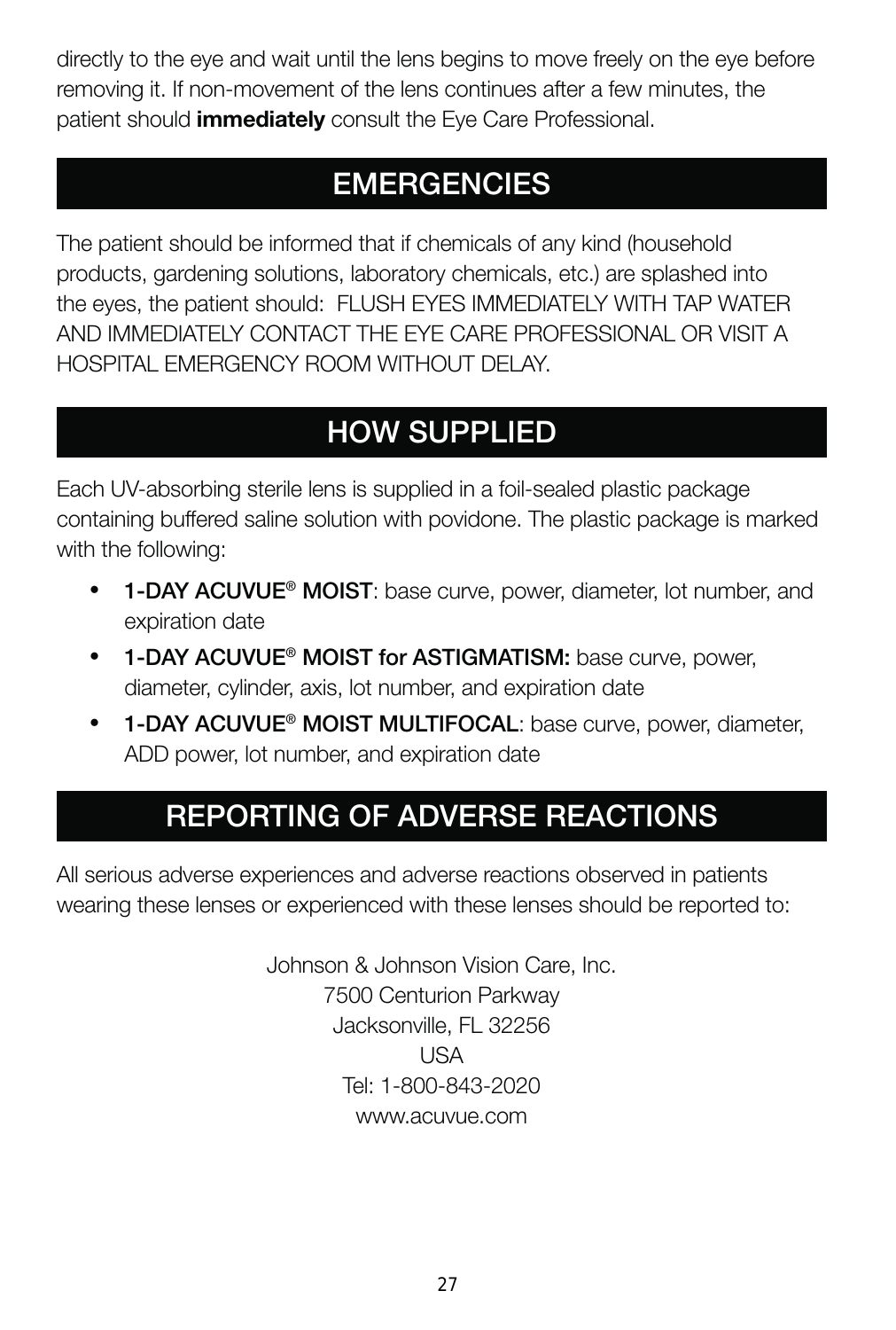directly to the eye and wait until the lens begins to move freely on the eye before removing it. If non-movement of the lens continues after a few minutes, the patient should **immediately** consult the Eye Care Professional.

# **EMERGENCIES**

The patient should be informed that if chemicals of any kind (household products, gardening solutions, laboratory chemicals, etc.) are splashed into the eyes, the patient should: FLUSH EYES IMMEDIATELY WITH TAP WATER AND IMMEDIATELY CONTACT THE EYE CARE PROFESSIONAL OR VISIT A HOSPITAL EMERGENCY ROOM WITHOUT DELAY.

# **HOW SUPPLIED**

Each UV-absorbing sterile lens is supplied in a foil-sealed plastic package containing buffered saline solution with povidone. The plastic package is marked with the following:

- **1-DAY ACUVUE® MOIST**: base curve, power, diameter, lot number, and expiration date
- **1-DAY ACUVUE® MOIST for ASTIGMATISM:** base curve, power, diameter, cylinder, axis, lot number, and expiration date
- **1-DAY ACUVUE® MOIST MULTIFOCAL**: base curve, power, diameter, ADD power, lot number, and expiration date

# **REPORTING OF ADVERSE REACTIONS**

All serious adverse experiences and adverse reactions observed in patients wearing these lenses or experienced with these lenses should be reported to:

> Johnson & Johnson Vision Care, Inc. 7500 Centurion Parkway Jacksonville, FL 32256 USA Tel: 1-800-843-2020 www.acuvue.com